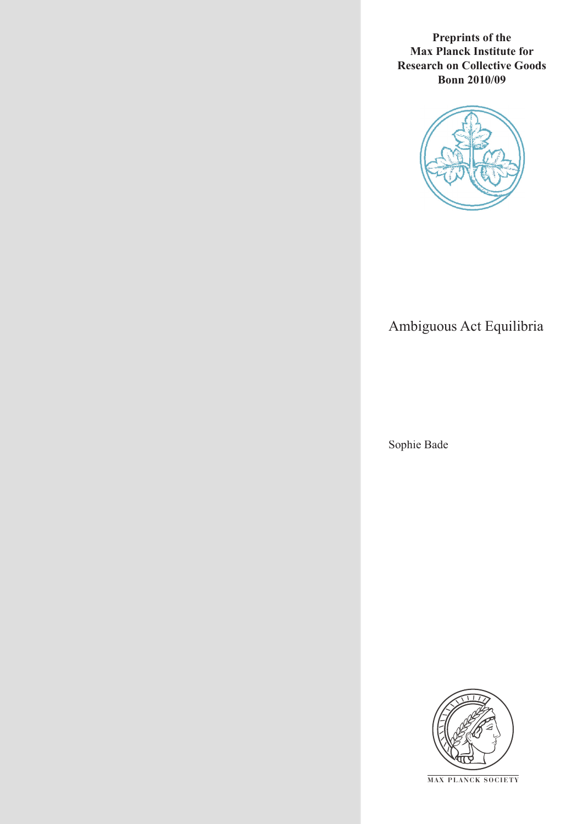**Preprints of the Max Planck Institute for Research on Collective Goods Bonn 2010/09**



# Ambiguous Act Equilibria

Sophie Bade



**M AX P L A N C K S O C I E T Y**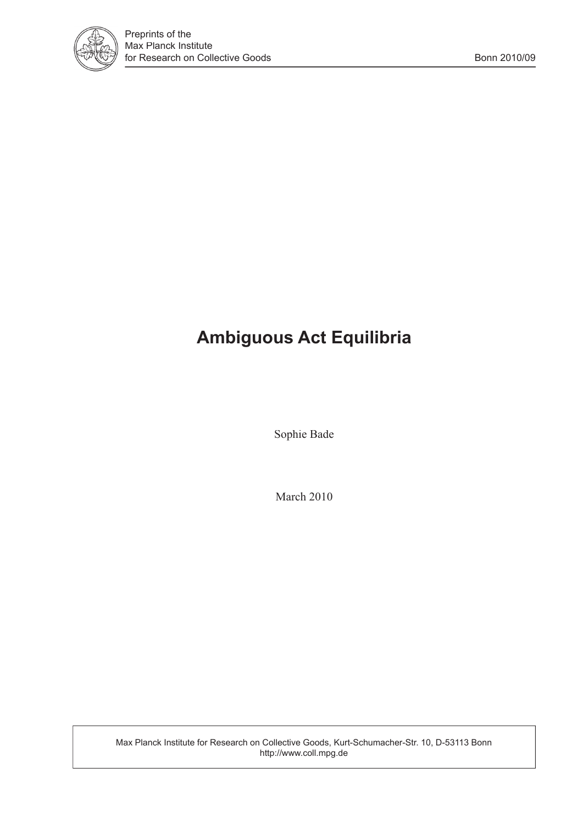

# **Ambiguous Act Equilibria**

Sophie Bade

March 2010

Max Planck Institute for Research on Collective Goods, Kurt-Schumacher-Str. 10, D-53113 Bonn http://www.coll.mpg.de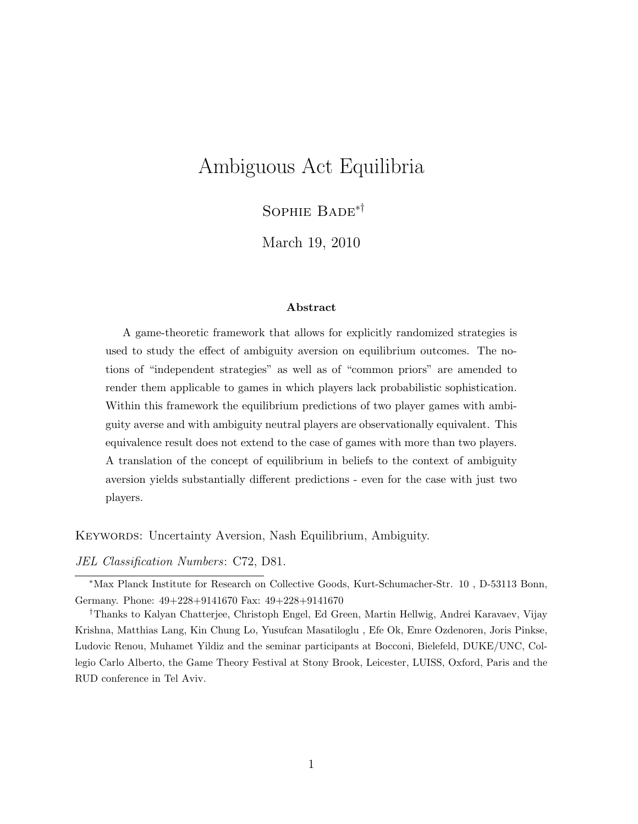# Ambiguous Act Equilibria

Sophie Bade∗†

March 19, 2010

#### Abstract

A game-theoretic framework that allows for explicitly randomized strategies is used to study the effect of ambiguity aversion on equilibrium outcomes. The notions of "independent strategies" as well as of "common priors" are amended to render them applicable to games in which players lack probabilistic sophistication. Within this framework the equilibrium predictions of two player games with ambiguity averse and with ambiguity neutral players are observationally equivalent. This equivalence result does not extend to the case of games with more than two players. A translation of the concept of equilibrium in beliefs to the context of ambiguity aversion yields substantially different predictions - even for the case with just two players.

KEYWORDS: Uncertainty Aversion, Nash Equilibrium, Ambiguity.

JEL Classification Numbers: C72, D81.

<sup>∗</sup>Max Planck Institute for Research on Collective Goods, Kurt-Schumacher-Str. 10 , D-53113 Bonn, Germany. Phone: 49+228+9141670 Fax: 49+228+9141670

<sup>†</sup>Thanks to Kalyan Chatterjee, Christoph Engel, Ed Green, Martin Hellwig, Andrei Karavaev, Vijay Krishna, Matthias Lang, Kin Chung Lo, Yusufcan Masatiloglu , Efe Ok, Emre Ozdenoren, Joris Pinkse, Ludovic Renou, Muhamet Yildiz and the seminar participants at Bocconi, Bielefeld, DUKE/UNC, Collegio Carlo Alberto, the Game Theory Festival at Stony Brook, Leicester, LUISS, Oxford, Paris and the RUD conference in Tel Aviv.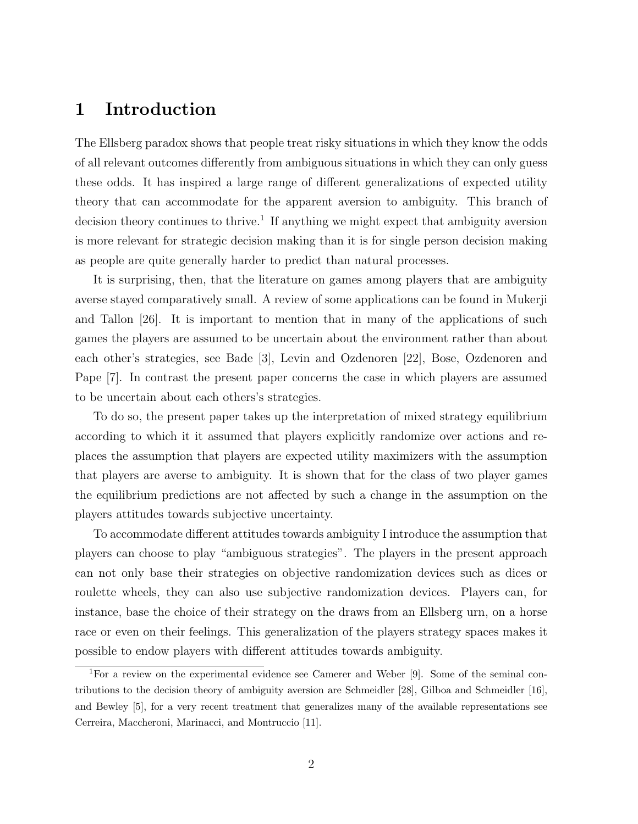### 1 Introduction

The Ellsberg paradox shows that people treat risky situations in which they know the odds of all relevant outcomes differently from ambiguous situations in which they can only guess these odds. It has inspired a large range of different generalizations of expected utility theory that can accommodate for the apparent aversion to ambiguity. This branch of decision theory continues to thrive.<sup>1</sup> If anything we might expect that ambiguity aversion is more relevant for strategic decision making than it is for single person decision making as people are quite generally harder to predict than natural processes.

It is surprising, then, that the literature on games among players that are ambiguity averse stayed comparatively small. A review of some applications can be found in Mukerji and Tallon [26]. It is important to mention that in many of the applications of such games the players are assumed to be uncertain about the environment rather than about each other's strategies, see Bade [3], Levin and Ozdenoren [22], Bose, Ozdenoren and Pape [7]. In contrast the present paper concerns the case in which players are assumed to be uncertain about each others's strategies.

To do so, the present paper takes up the interpretation of mixed strategy equilibrium according to which it it assumed that players explicitly randomize over actions and replaces the assumption that players are expected utility maximizers with the assumption that players are averse to ambiguity. It is shown that for the class of two player games the equilibrium predictions are not affected by such a change in the assumption on the players attitudes towards subjective uncertainty.

To accommodate different attitudes towards ambiguity I introduce the assumption that players can choose to play "ambiguous strategies". The players in the present approach can not only base their strategies on objective randomization devices such as dices or roulette wheels, they can also use subjective randomization devices. Players can, for instance, base the choice of their strategy on the draws from an Ellsberg urn, on a horse race or even on their feelings. This generalization of the players strategy spaces makes it possible to endow players with different attitudes towards ambiguity.

<sup>1</sup>For a review on the experimental evidence see Camerer and Weber [9]. Some of the seminal contributions to the decision theory of ambiguity aversion are Schmeidler [28], Gilboa and Schmeidler [16], and Bewley [5], for a very recent treatment that generalizes many of the available representations see Cerreira, Maccheroni, Marinacci, and Montruccio [11].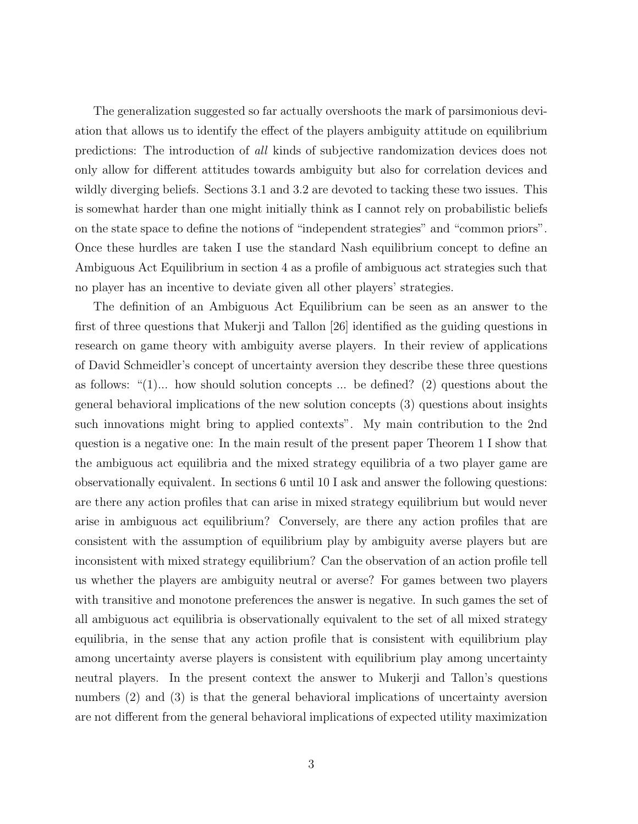The generalization suggested so far actually overshoots the mark of parsimonious deviation that allows us to identify the effect of the players ambiguity attitude on equilibrium predictions: The introduction of all kinds of subjective randomization devices does not only allow for different attitudes towards ambiguity but also for correlation devices and wildly diverging beliefs. Sections 3.1 and 3.2 are devoted to tacking these two issues. This is somewhat harder than one might initially think as I cannot rely on probabilistic beliefs on the state space to define the notions of "independent strategies" and "common priors". Once these hurdles are taken I use the standard Nash equilibrium concept to define an Ambiguous Act Equilibrium in section 4 as a profile of ambiguous act strategies such that no player has an incentive to deviate given all other players' strategies.

The definition of an Ambiguous Act Equilibrium can be seen as an answer to the first of three questions that Mukerji and Tallon [26] identified as the guiding questions in research on game theory with ambiguity averse players. In their review of applications of David Schmeidler's concept of uncertainty aversion they describe these three questions as follows: " $(1)$ ... how should solution concepts ... be defined? (2) questions about the general behavioral implications of the new solution concepts (3) questions about insights such innovations might bring to applied contexts". My main contribution to the 2nd question is a negative one: In the main result of the present paper Theorem 1 I show that the ambiguous act equilibria and the mixed strategy equilibria of a two player game are observationally equivalent. In sections 6 until 10 I ask and answer the following questions: are there any action profiles that can arise in mixed strategy equilibrium but would never arise in ambiguous act equilibrium? Conversely, are there any action profiles that are consistent with the assumption of equilibrium play by ambiguity averse players but are inconsistent with mixed strategy equilibrium? Can the observation of an action profile tell us whether the players are ambiguity neutral or averse? For games between two players with transitive and monotone preferences the answer is negative. In such games the set of all ambiguous act equilibria is observationally equivalent to the set of all mixed strategy equilibria, in the sense that any action profile that is consistent with equilibrium play among uncertainty averse players is consistent with equilibrium play among uncertainty neutral players. In the present context the answer to Mukerji and Tallon's questions numbers (2) and (3) is that the general behavioral implications of uncertainty aversion are not different from the general behavioral implications of expected utility maximization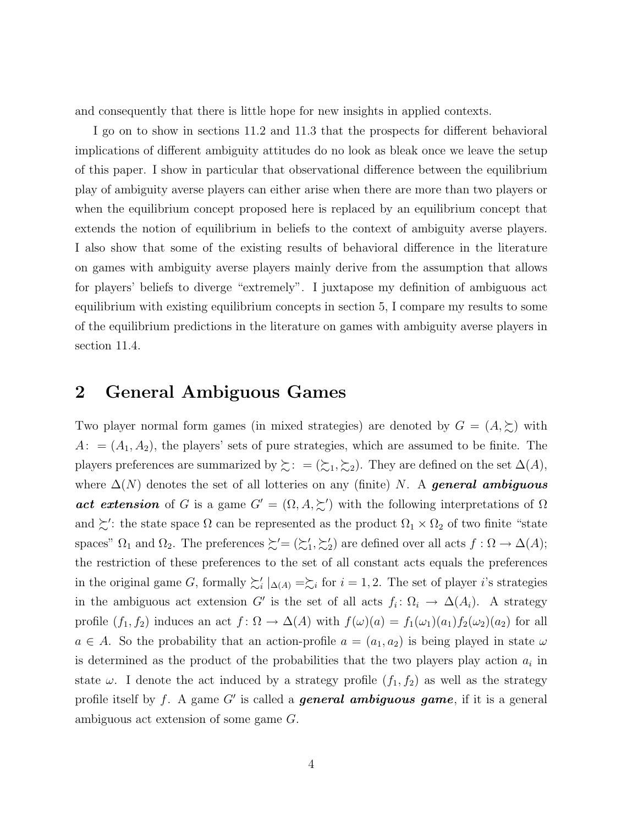and consequently that there is little hope for new insights in applied contexts.

I go on to show in sections 11.2 and 11.3 that the prospects for different behavioral implications of different ambiguity attitudes do no look as bleak once we leave the setup of this paper. I show in particular that observational difference between the equilibrium play of ambiguity averse players can either arise when there are more than two players or when the equilibrium concept proposed here is replaced by an equilibrium concept that extends the notion of equilibrium in beliefs to the context of ambiguity averse players. I also show that some of the existing results of behavioral difference in the literature on games with ambiguity averse players mainly derive from the assumption that allows for players' beliefs to diverge "extremely". I juxtapose my definition of ambiguous act equilibrium with existing equilibrium concepts in section 5, I compare my results to some of the equilibrium predictions in the literature on games with ambiguity averse players in section 11.4.

### 2 General Ambiguous Games

Two player normal form games (in mixed strategies) are denoted by  $G = (A, \geq)$  with  $A: = (A_1, A_2)$ , the players' sets of pure strategies, which are assumed to be finite. The players preferences are summarized by  $\succsim$ : = ( $\succsim$ 1,  $\succsim$ 2). They are defined on the set  $\Delta(A)$ , where  $\Delta(N)$  denotes the set of all lotteries on any (finite) N. A general ambiguous act extension of G is a game  $G' = (\Omega, A, \succeq')$  with the following interpretations of  $\Omega$ and  $\succsim'$ : the state space  $\Omega$  can be represented as the product  $\Omega_1 \times \Omega_2$  of two finite "state" spaces"  $\Omega_1$  and  $\Omega_2$ . The preferences  $\succsim' = (\succsim_1', \succsim_2')$  are defined over all acts  $f : \Omega \to \Delta(A)$ ; the restriction of these preferences to the set of all constant acts equals the preferences in the original game G, formally  $\sum_{i}^{\prime} |_{\Delta(A)} = \sum_{i}$  for  $i = 1, 2$ . The set of player i's strategies in the ambiguous act extension G' is the set of all acts  $f_i: \Omega_i \to \Delta(A_i)$ . A strategy profile  $(f_1, f_2)$  induces an act  $f: \Omega \to \Delta(A)$  with  $f(\omega)(a) = f_1(\omega_1)(a_1) f_2(\omega_2)(a_2)$  for all  $a \in A$ . So the probability that an action-profile  $a = (a_1, a_2)$  is being played in state  $\omega$ is determined as the product of the probabilities that the two players play action  $a_i$  in state  $\omega$ . I denote the act induced by a strategy profile  $(f_1, f_2)$  as well as the strategy profile itself by  $f$ . A game  $G'$  is called a **general ambiguous game**, if it is a general ambiguous act extension of some game G.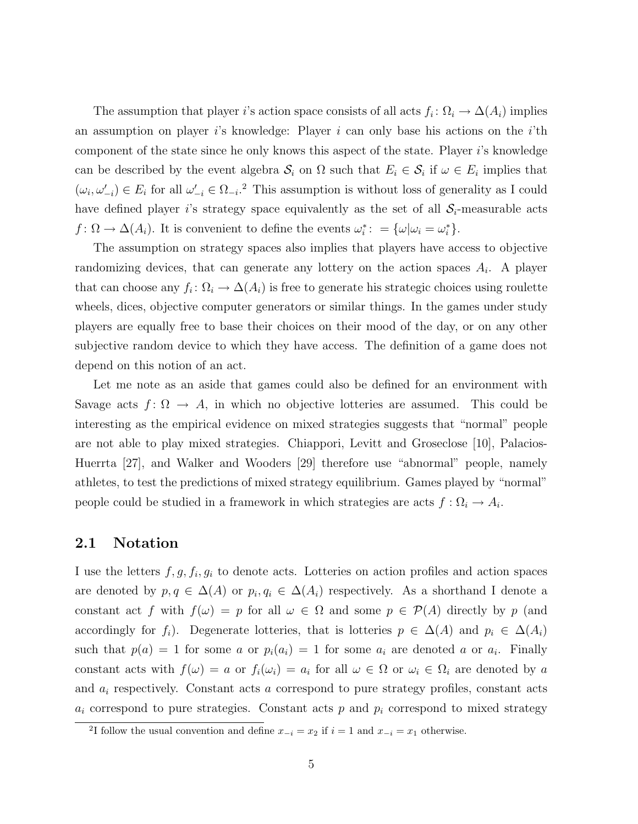The assumption that player *i*'s action space consists of all acts  $f_i: \Omega_i \to \Delta(A_i)$  implies an assumption on player  $i$ 's knowledge: Player  $i$  can only base his actions on the  $i$ 'th component of the state since he only knows this aspect of the state. Player  $i$ 's knowledge can be described by the event algebra  $S_i$  on  $\Omega$  such that  $E_i \in S_i$  if  $\omega \in E_i$  implies that  $(\omega_i, \omega'_{-i}) \in E_i$  for all  $\omega'_{-i} \in \Omega_{-i}$ .<sup>2</sup> This assumption is without loss of generality as I could have defined player i's strategy space equivalently as the set of all  $S_i$ -measurable acts  $f: \Omega \to \Delta(A_i)$ . It is convenient to define the events  $\omega_i^*$ : = { $\omega|\omega_i = \omega_i^*$  }.

The assumption on strategy spaces also implies that players have access to objective randomizing devices, that can generate any lottery on the action spaces  $A_i$ . A player that can choose any  $f_i: \Omega_i \to \Delta(A_i)$  is free to generate his strategic choices using roulette wheels, dices, objective computer generators or similar things. In the games under study players are equally free to base their choices on their mood of the day, or on any other subjective random device to which they have access. The definition of a game does not depend on this notion of an act.

Let me note as an aside that games could also be defined for an environment with Savage acts  $f: \Omega \to A$ , in which no objective lotteries are assumed. This could be interesting as the empirical evidence on mixed strategies suggests that "normal" people are not able to play mixed strategies. Chiappori, Levitt and Groseclose [10], Palacios-Huerrta [27], and Walker and Wooders [29] therefore use "abnormal" people, namely athletes, to test the predictions of mixed strategy equilibrium. Games played by "normal" people could be studied in a framework in which strategies are acts  $f: \Omega_i \to A_i$ .

#### 2.1 Notation

I use the letters  $f, g, f_i, g_i$  to denote acts. Lotteries on action profiles and action spaces are denoted by  $p, q \in \Delta(A)$  or  $p_i, q_i \in \Delta(A_i)$  respectively. As a shorthand I denote a constant act f with  $f(\omega) = p$  for all  $\omega \in \Omega$  and some  $p \in \mathcal{P}(A)$  directly by p (and accordingly for  $f_i$ ). Degenerate lotteries, that is lotteries  $p \in \Delta(A)$  and  $p_i \in \Delta(A_i)$ such that  $p(a) = 1$  for some a or  $p_i(a_i) = 1$  for some  $a_i$  are denoted a or  $a_i$ . Finally constant acts with  $f(\omega) = a$  or  $f_i(\omega_i) = a_i$  for all  $\omega \in \Omega$  or  $\omega_i \in \Omega_i$  are denoted by a and  $a_i$  respectively. Constant acts a correspond to pure strategy profiles, constant acts  $a_i$  correspond to pure strategies. Constant acts p and  $p_i$  correspond to mixed strategy

<sup>&</sup>lt;sup>2</sup>I follow the usual convention and define  $x_{-i} = x_2$  if  $i = 1$  and  $x_{-i} = x_1$  otherwise.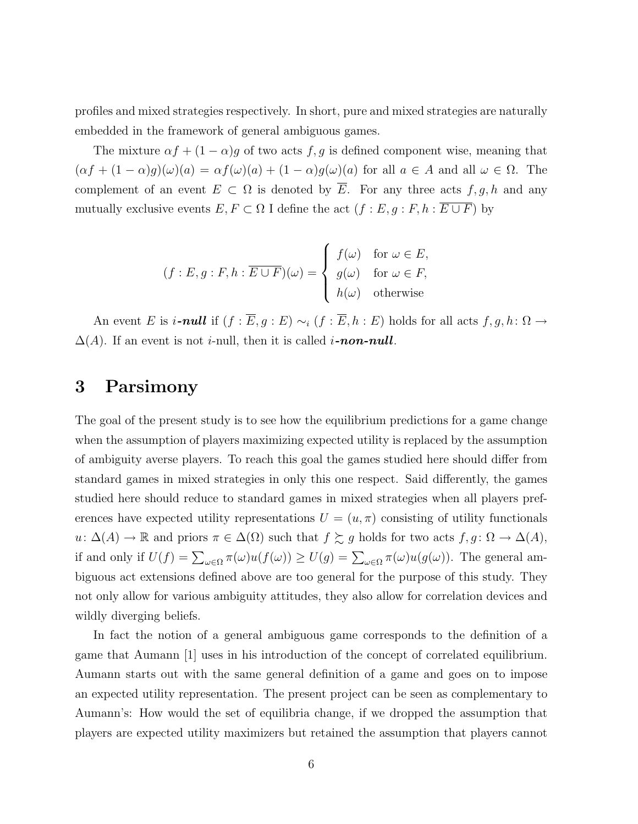profiles and mixed strategies respectively. In short, pure and mixed strategies are naturally embedded in the framework of general ambiguous games.

The mixture  $\alpha f + (1 - \alpha)g$  of two acts f, g is defined component wise, meaning that  $(\alpha f + (1 - \alpha)g)(\omega)(a) = \alpha f(\omega)(a) + (1 - \alpha)g(\omega)(a)$  for all  $a \in A$  and all  $\omega \in \Omega$ . The complement of an event  $E \subset \Omega$  is denoted by  $\overline{E}$ . For any three acts  $f, g, h$  and any mutually exclusive events  $E, F \subset \Omega$  I define the act  $(f : E, g : F, h : \overline{E \cup F})$  by

$$
(f: E, g: F, h: \overline{E \cup F})(\omega) = \begin{cases} f(\omega) & \text{for } \omega \in E, \\ g(\omega) & \text{for } \omega \in F, \\ h(\omega) & \text{otherwise} \end{cases}
$$

An event E is *i*-null if  $(f : \overline{E}, g : E) \sim_i (f : \overline{E}, h : E)$  holds for all acts  $f, g, h : \Omega \to$  $\Delta(A)$ . If an event is not *i*-null, then it is called *i*-non-null.

### 3 Parsimony

The goal of the present study is to see how the equilibrium predictions for a game change when the assumption of players maximizing expected utility is replaced by the assumption of ambiguity averse players. To reach this goal the games studied here should differ from standard games in mixed strategies in only this one respect. Said differently, the games studied here should reduce to standard games in mixed strategies when all players preferences have expected utility representations  $U = (u, \pi)$  consisting of utility functionals  $u: \Delta(A) \to \mathbb{R}$  and priors  $\pi \in \Delta(\Omega)$  such that  $f \succsim g$  holds for two acts  $f, g: \Omega \to \Delta(A)$ , if and only if  $U(f) = \sum_{\omega \in \Omega} \pi(\omega)u(f(\omega)) \ge U(g) = \sum_{\omega \in \Omega} \pi(\omega)u(g(\omega))$ . The general ambiguous act extensions defined above are too general for the purpose of this study. They not only allow for various ambiguity attitudes, they also allow for correlation devices and wildly diverging beliefs.

In fact the notion of a general ambiguous game corresponds to the definition of a game that Aumann [1] uses in his introduction of the concept of correlated equilibrium. Aumann starts out with the same general definition of a game and goes on to impose an expected utility representation. The present project can be seen as complementary to Aumann's: How would the set of equilibria change, if we dropped the assumption that players are expected utility maximizers but retained the assumption that players cannot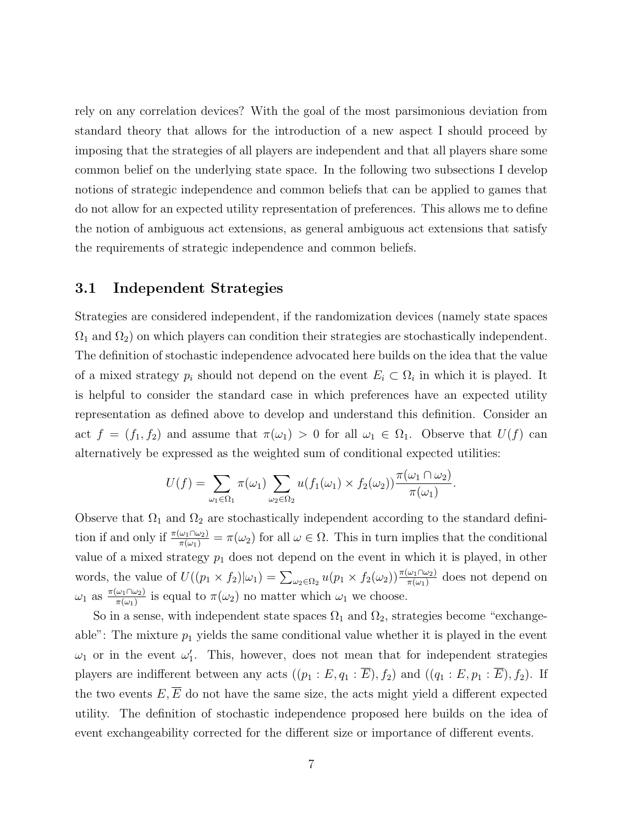rely on any correlation devices? With the goal of the most parsimonious deviation from standard theory that allows for the introduction of a new aspect I should proceed by imposing that the strategies of all players are independent and that all players share some common belief on the underlying state space. In the following two subsections I develop notions of strategic independence and common beliefs that can be applied to games that do not allow for an expected utility representation of preferences. This allows me to define the notion of ambiguous act extensions, as general ambiguous act extensions that satisfy the requirements of strategic independence and common beliefs.

#### 3.1 Independent Strategies

Strategies are considered independent, if the randomization devices (namely state spaces  $\Omega_1$  and  $\Omega_2$ ) on which players can condition their strategies are stochastically independent. The definition of stochastic independence advocated here builds on the idea that the value of a mixed strategy  $p_i$  should not depend on the event  $E_i \subset \Omega_i$  in which it is played. It is helpful to consider the standard case in which preferences have an expected utility representation as defined above to develop and understand this definition. Consider an act  $f = (f_1, f_2)$  and assume that  $\pi(\omega_1) > 0$  for all  $\omega_1 \in \Omega_1$ . Observe that  $U(f)$  can alternatively be expressed as the weighted sum of conditional expected utilities:

$$
U(f) = \sum_{\omega_1 \in \Omega_1} \pi(\omega_1) \sum_{\omega_2 \in \Omega_2} u(f_1(\omega_1) \times f_2(\omega_2)) \frac{\pi(\omega_1 \cap \omega_2)}{\pi(\omega_1)}.
$$

Observe that  $\Omega_1$  and  $\Omega_2$  are stochastically independent according to the standard definition if and only if  $\frac{\pi(\omega_1 \cap \omega_2)}{\pi(\omega_1)} = \pi(\omega_2)$  for all  $\omega \in \Omega$ . This in turn implies that the conditional value of a mixed strategy  $p_1$  does not depend on the event in which it is played, in other words, the value of  $U((p_1 \times f_2)|\omega_1) = \sum_{\omega_2 \in \Omega_2} u(p_1 \times f_2(\omega_2)) \frac{\pi(\omega_1 \cap \omega_2)}{\pi(\omega_1)}$  does not depend on  $\omega_1$  as  $\frac{\pi(\omega_1 \cap \omega_2)}{\pi(\omega_1)}$  $\frac{\omega_1(\omega_2)}{\pi(\omega_1)}$  is equal to  $\pi(\omega_2)$  no matter which  $\omega_1$  we choose.

So in a sense, with independent state spaces  $\Omega_1$  and  $\Omega_2$ , strategies become "exchangeable": The mixture  $p_1$  yields the same conditional value whether it is played in the event  $\omega_1$  or in the event  $\omega'_1$ . This, however, does not mean that for independent strategies players are indifferent between any acts  $((p_1 : E, q_1 : \overline{E}), f_2)$  and  $((q_1 : E, p_1 : \overline{E}), f_2)$ . If the two events  $E, \overline{E}$  do not have the same size, the acts might yield a different expected utility. The definition of stochastic independence proposed here builds on the idea of event exchangeability corrected for the different size or importance of different events.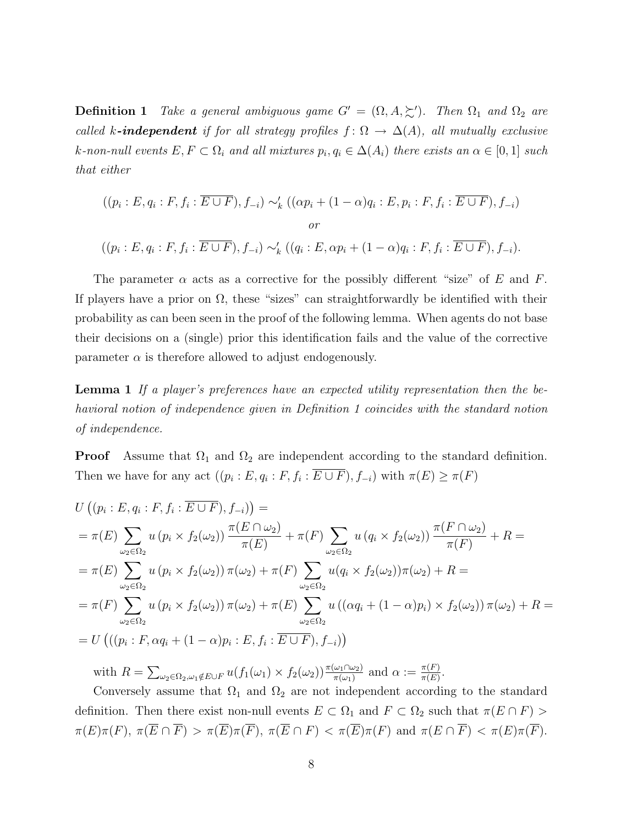**Definition 1** Take a general ambiguous game  $G' = (\Omega, A, \succeq')$ . Then  $\Omega_1$  and  $\Omega_2$  are called k-independent if for all strategy profiles  $f: \Omega \to \Delta(A)$ , all mutually exclusive k-non-null events  $E, F \subset \Omega_i$  and all mixtures  $p_i, q_i \in \Delta(A_i)$  there exists an  $\alpha \in [0,1]$  such that either

$$
((p_i : E, q_i : F, f_i : \overline{E \cup F}), f_{-i}) \sim'_k ((\alpha p_i + (1 - \alpha)q_i : E, p_i : F, f_i : \overline{E \cup F}), f_{-i})
$$
  
*or*  

$$
((p_i : E, q_i : F, f_i : \overline{E \cup F}), f_{-i}) \sim'_k ((q_i : E, \alpha p_i + (1 - \alpha)q_i : F, f_i : \overline{E \cup F}), f_{-i}).
$$

The parameter  $\alpha$  acts as a corrective for the possibly different "size" of E and F. If players have a prior on  $\Omega$ , these "sizes" can straightforwardly be identified with their probability as can been seen in the proof of the following lemma. When agents do not base their decisions on a (single) prior this identification fails and the value of the corrective parameter  $\alpha$  is therefore allowed to adjust endogenously.

**Lemma 1** If a player's preferences have an expected utility representation then the behavioral notion of independence given in Definition 1 coincides with the standard notion of independence.

**Proof** Assume that  $\Omega_1$  and  $\Omega_2$  are independent according to the standard definition. Then we have for any act  $((p_i : E, q_i : F, f_i : E \cup F), f_{-i})$  with  $\pi(E) \geq \pi(F)$ 

$$
U\left((p_i: E, q_i: F, f_i: \overline{E \cup F}), f_{-i}\right) =
$$
\n
$$
= \pi(E) \sum_{\omega_2 \in \Omega_2} u\left(p_i \times f_2(\omega_2)\right) \frac{\pi(E \cap \omega_2)}{\pi(E)} + \pi(F) \sum_{\omega_2 \in \Omega_2} u\left(q_i \times f_2(\omega_2)\right) \frac{\pi(F \cap \omega_2)}{\pi(F)} + R =
$$
\n
$$
= \pi(E) \sum_{\omega_2 \in \Omega_2} u\left(p_i \times f_2(\omega_2)\right) \pi(\omega_2) + \pi(F) \sum_{\omega_2 \in \Omega_2} u(q_i \times f_2(\omega_2)) \pi(\omega_2) + R =
$$
\n
$$
= \pi(F) \sum_{\omega_2 \in \Omega_2} u\left(p_i \times f_2(\omega_2)\right) \pi(\omega_2) + \pi(E) \sum_{\omega_2 \in \Omega_2} u\left((\alpha q_i + (1 - \alpha)p_i) \times f_2(\omega_2)\right) \pi(\omega_2) + R =
$$
\n
$$
= U\left(((p_i: F, \alpha q_i + (1 - \alpha)p_i: E, f_i: \overline{E \cup F}), f_{-i})\right)
$$

with  $R = \sum_{\omega_2 \in \Omega_2, \omega_1 \notin E \cup F} u(f_1(\omega_1) \times f_2(\omega_2)) \frac{\pi(\omega_1 \cap \omega_2)}{\pi(\omega_1)}$  and  $\alpha := \frac{\pi(F)}{\pi(E)}$  $\frac{\pi(F)}{\pi(E)}$ .

Conversely assume that  $\Omega_1$  and  $\Omega_2$  are not independent according to the standard definition. Then there exist non-null events  $E \subset \Omega_1$  and  $F \subset \Omega_2$  such that  $\pi(E \cap F)$  $\pi(E)\pi(F)$ ,  $\pi(\overline{E} \cap \overline{F}) > \pi(\overline{E})\pi(\overline{F})$ ,  $\pi(\overline{E} \cap F) < \pi(\overline{E})\pi(F)$  and  $\pi(E \cap \overline{F}) < \pi(E)\pi(\overline{F})$ .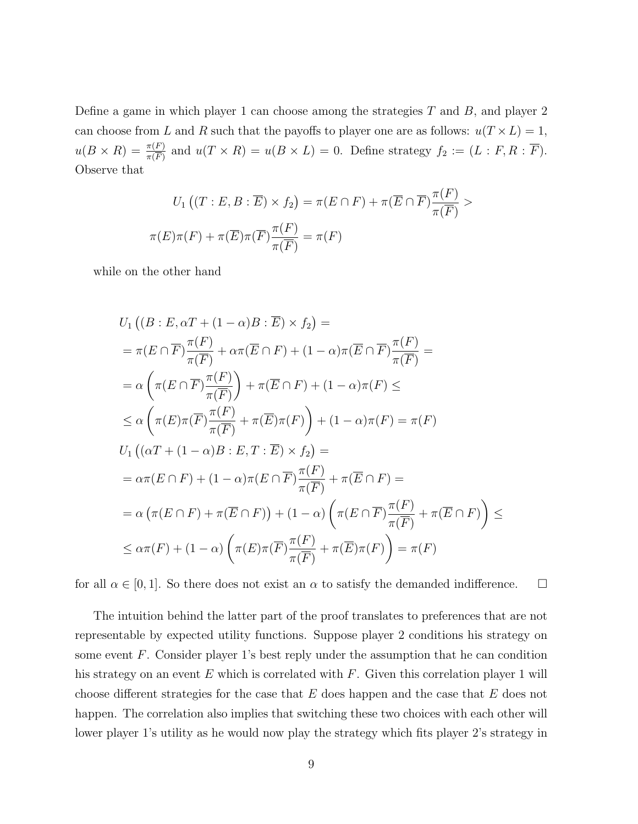Define a game in which player 1 can choose among the strategies  $T$  and  $B$ , and player 2 can choose from L and R such that the payoffs to player one are as follows:  $u(T \times L) = 1$ ,  $u(B \times R) = \frac{\pi(F)}{\pi(F)}$  and  $u(T \times R) = u(B \times L) = 0$ . Define strategy  $f_2 := (L : F, R : \overline{F})$ . Observe that

$$
U_1((T:E,B:\overline{E})\times f_2) = \pi(E\cap F) + \pi(\overline{E}\cap \overline{F})\frac{\pi(F)}{\pi(\overline{F})} >
$$

$$
\pi(E)\pi(F) + \pi(\overline{E})\pi(\overline{F})\frac{\pi(F)}{\pi(\overline{F})} = \pi(F)
$$

while on the other hand

$$
U_{1} ((B: E, \alpha T + (1 - \alpha)B: \overline{E}) \times f_{2}) =
$$
  
\n
$$
= \pi (E \cap \overline{F}) \frac{\pi(F)}{\pi(\overline{F})} + \alpha \pi(\overline{E} \cap F) + (1 - \alpha) \pi(\overline{E} \cap \overline{F}) \frac{\pi(F)}{\pi(\overline{F})} =
$$
  
\n
$$
= \alpha \left( \pi (E \cap \overline{F}) \frac{\pi(F)}{\pi(\overline{F})} \right) + \pi(\overline{E} \cap F) + (1 - \alpha) \pi(F) \le
$$
  
\n
$$
\le \alpha \left( \pi (E) \pi(\overline{F}) \frac{\pi(F)}{\pi(\overline{F})} + \pi(\overline{E}) \pi(F) \right) + (1 - \alpha) \pi(F) = \pi(F)
$$
  
\n
$$
U_{1} ((\alpha T + (1 - \alpha)B: E, T: \overline{E}) \times f_{2}) =
$$
  
\n
$$
= \alpha \pi (E \cap F) + (1 - \alpha) \pi (E \cap \overline{F}) \frac{\pi(F)}{\pi(\overline{F})} + \pi(\overline{E} \cap F) =
$$
  
\n
$$
= \alpha \left( \pi (E \cap F) + \pi(\overline{E} \cap F) \right) + (1 - \alpha) \left( \pi (E \cap \overline{F}) \frac{\pi(F)}{\pi(\overline{F})} + \pi(\overline{E} \cap F) \right) \le
$$
  
\n
$$
\le \alpha \pi(F) + (1 - \alpha) \left( \pi (E) \pi(\overline{F}) \frac{\pi(F)}{\pi(\overline{F})} + \pi(\overline{E}) \pi(F) \right) = \pi(F)
$$

for all  $\alpha \in [0, 1]$ . So there does not exist an  $\alpha$  to satisfy the demanded indifference.  $\square$ 

The intuition behind the latter part of the proof translates to preferences that are not representable by expected utility functions. Suppose player 2 conditions his strategy on some event  $F$ . Consider player 1's best reply under the assumption that he can condition his strategy on an event  $E$  which is correlated with  $F$ . Given this correlation player 1 will choose different strategies for the case that  $E$  does happen and the case that  $E$  does not happen. The correlation also implies that switching these two choices with each other will lower player 1's utility as he would now play the strategy which fits player 2's strategy in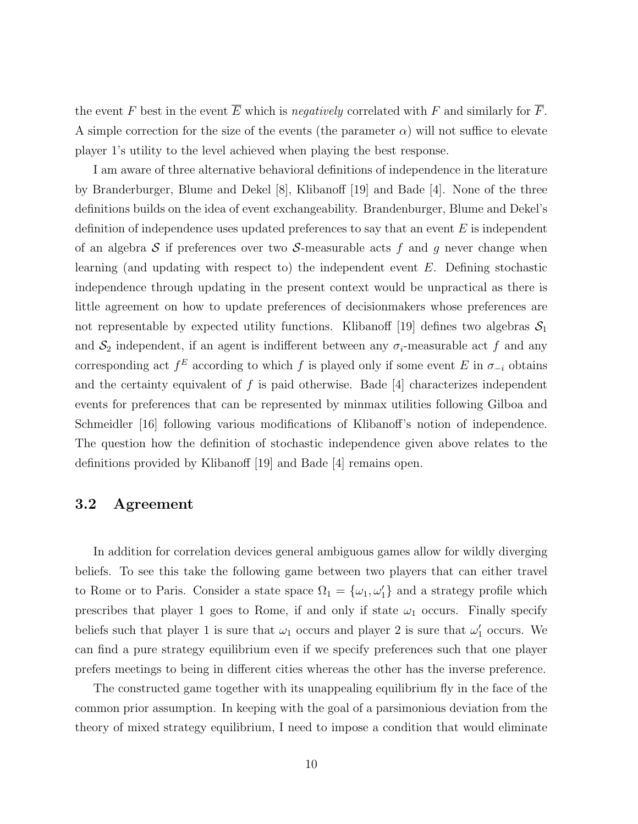the event F best in the event  $\overline{E}$  which is negatively correlated with F and similarly for F. A simple correction for the size of the events (the parameter  $\alpha$ ) will not suffice to elevate player 1's utility to the level achieved when playing the best response.

I am aware of three alternative behavioral definitions of independence in the literature by Branderburger, Blume and Dekel [8], Klibanoff [19] and Bade [4]. None of the three definitions builds on the idea of event exchangeability. Brandenburger, Blume and Dekel's definition of independence uses updated preferences to say that an event  $E$  is independent of an algebra  $S$  if preferences over two S-measurable acts f and g never change when learning (and updating with respect to) the independent event  $E$ . Defining stochastic independence through updating in the present context would be unpractical as there is little agreement on how to update preferences of decisionmakers whose preferences are not representable by expected utility functions. Klibanoff [19] defines two algebras  $S_1$ and  $S_2$  independent, if an agent is indifferent between any  $\sigma_i$ -measurable act f and any corresponding act  $f^E$  according to which f is played only if some event E in  $\sigma_{-i}$  obtains and the certainty equivalent of  $f$  is paid otherwise. Bade [4] characterizes independent events for preferences that can be represented by minmax utilities following Gilboa and Schmeidler [16] following various modifications of Klibanoff's notion of independence. The question how the definition of stochastic independence given above relates to the definitions provided by Klibanoff [19] and Bade [4] remains open.

#### 3.2 Agreement

In addition for correlation devices general ambiguous games allow for wildly diverging beliefs. To see this take the following game between two players that can either travel to Rome or to Paris. Consider a state space  $\Omega_1 = {\omega_1, \omega'_1}$  and a strategy profile which prescribes that player 1 goes to Rome, if and only if state  $\omega_1$  occurs. Finally specify beliefs such that player 1 is sure that  $\omega_1$  occurs and player 2 is sure that  $\omega'_1$  occurs. We can find a pure strategy equilibrium even if we specify preferences such that one player prefers meetings to being in different cities whereas the other has the inverse preference.

The constructed game together with its unappealing equilibrium fly in the face of the common prior assumption. In keeping with the goal of a parsimonious deviation from the theory of mixed strategy equilibrium, I need to impose a condition that would eliminate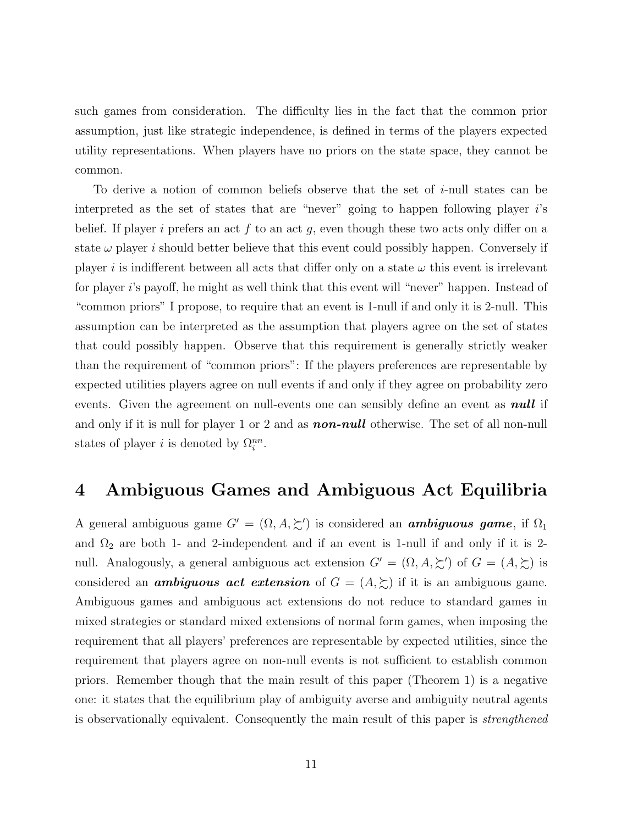such games from consideration. The difficulty lies in the fact that the common prior assumption, just like strategic independence, is defined in terms of the players expected utility representations. When players have no priors on the state space, they cannot be common.

To derive a notion of common beliefs observe that the set of  $i$ -null states can be interpreted as the set of states that are "never" going to happen following player  $i$ 's belief. If player i prefers an act f to an act g, even though these two acts only differ on a state  $\omega$  player *i* should better believe that this event could possibly happen. Conversely if player i is indifferent between all acts that differ only on a state  $\omega$  this event is irrelevant for player i's payoff, he might as well think that this event will "never" happen. Instead of "common priors" I propose, to require that an event is 1-null if and only it is 2-null. This assumption can be interpreted as the assumption that players agree on the set of states that could possibly happen. Observe that this requirement is generally strictly weaker than the requirement of "common priors": If the players preferences are representable by expected utilities players agree on null events if and only if they agree on probability zero events. Given the agreement on null-events one can sensibly define an event as **null** if and only if it is null for player 1 or 2 and as **non-null** otherwise. The set of all non-null states of player *i* is denoted by  $\Omega_i^{nn}$ .

### 4 Ambiguous Games and Ambiguous Act Equilibria

A general ambiguous game  $G' = (\Omega, A, \succsim')$  is considered an **ambiguous game**, if  $\Omega_1$ and  $\Omega_2$  are both 1- and 2-independent and if an event is 1-null if and only if it is 2null. Analogously, a general ambiguous act extension  $G' = (\Omega, A, \succeq')$  of  $G = (A, \succeq)$  is considered an **ambiguous act extension** of  $G = (A, \succeq)$  if it is an ambiguous game. Ambiguous games and ambiguous act extensions do not reduce to standard games in mixed strategies or standard mixed extensions of normal form games, when imposing the requirement that all players' preferences are representable by expected utilities, since the requirement that players agree on non-null events is not sufficient to establish common priors. Remember though that the main result of this paper (Theorem 1) is a negative one: it states that the equilibrium play of ambiguity averse and ambiguity neutral agents is observationally equivalent. Consequently the main result of this paper is strengthened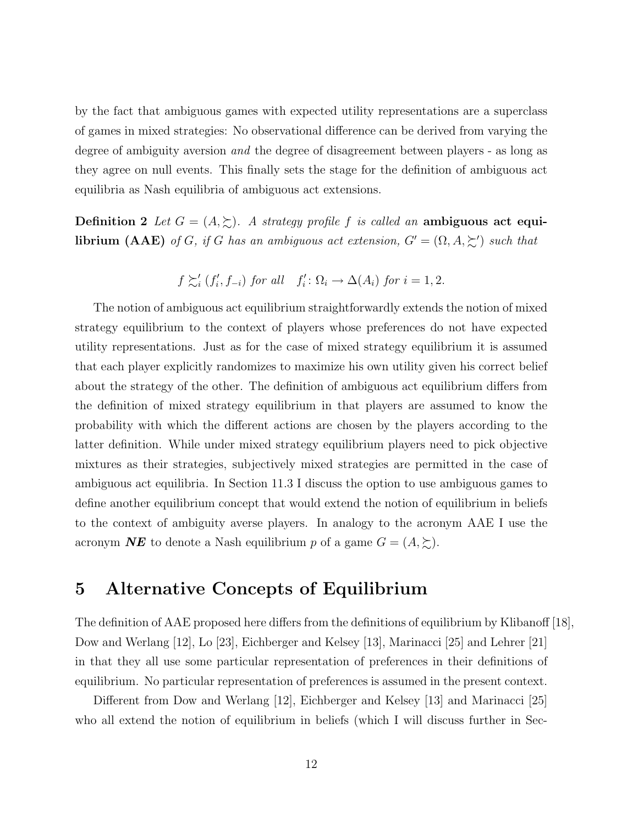by the fact that ambiguous games with expected utility representations are a superclass of games in mixed strategies: No observational difference can be derived from varying the degree of ambiguity aversion and the degree of disagreement between players - as long as they agree on null events. This finally sets the stage for the definition of ambiguous act equilibria as Nash equilibria of ambiguous act extensions.

Definition 2 Let  $G = (A, \succsim)$ . A strategy profile f is called an ambiguous act equi**librium (AAE)** of G, if G has an ambiguous act extension,  $G' = (\Omega, A, \succeq')$  such that

$$
f \succsim'_{i} (f'_{i}, f_{-i})
$$
 for all  $f'_{i} : \Omega_{i} \to \Delta(A_{i})$  for  $i = 1, 2$ .

The notion of ambiguous act equilibrium straightforwardly extends the notion of mixed strategy equilibrium to the context of players whose preferences do not have expected utility representations. Just as for the case of mixed strategy equilibrium it is assumed that each player explicitly randomizes to maximize his own utility given his correct belief about the strategy of the other. The definition of ambiguous act equilibrium differs from the definition of mixed strategy equilibrium in that players are assumed to know the probability with which the different actions are chosen by the players according to the latter definition. While under mixed strategy equilibrium players need to pick objective mixtures as their strategies, subjectively mixed strategies are permitted in the case of ambiguous act equilibria. In Section 11.3 I discuss the option to use ambiguous games to define another equilibrium concept that would extend the notion of equilibrium in beliefs to the context of ambiguity averse players. In analogy to the acronym AAE I use the acronym **NE** to denote a Nash equilibrium p of a game  $G = (A, \succsim)$ .

### 5 Alternative Concepts of Equilibrium

The definition of AAE proposed here differs from the definitions of equilibrium by Klibanoff [18], Dow and Werlang [12], Lo [23], Eichberger and Kelsey [13], Marinacci [25] and Lehrer [21] in that they all use some particular representation of preferences in their definitions of equilibrium. No particular representation of preferences is assumed in the present context.

Different from Dow and Werlang [12], Eichberger and Kelsey [13] and Marinacci [25] who all extend the notion of equilibrium in beliefs (which I will discuss further in Sec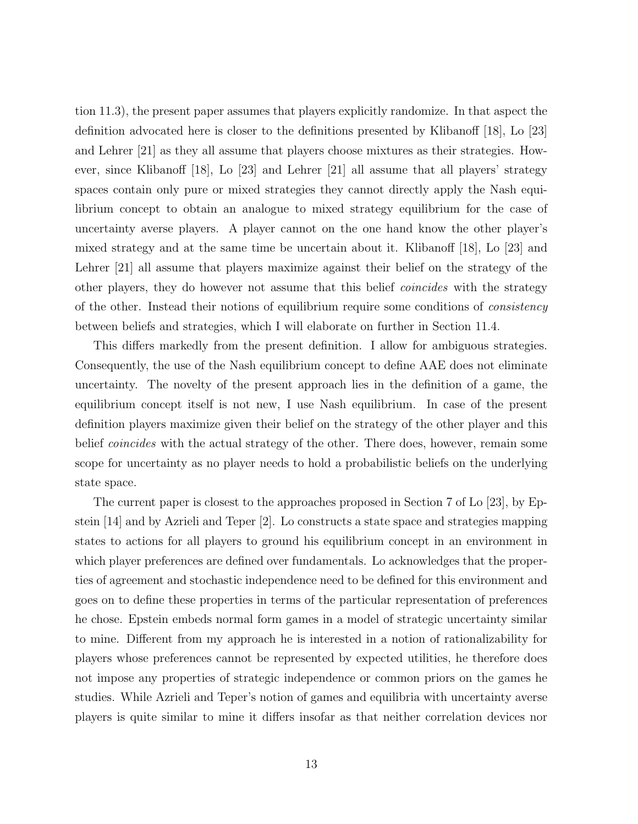tion 11.3), the present paper assumes that players explicitly randomize. In that aspect the definition advocated here is closer to the definitions presented by Klibanoff [18], Lo [23] and Lehrer [21] as they all assume that players choose mixtures as their strategies. However, since Klibanoff [18], Lo [23] and Lehrer [21] all assume that all players' strategy spaces contain only pure or mixed strategies they cannot directly apply the Nash equilibrium concept to obtain an analogue to mixed strategy equilibrium for the case of uncertainty averse players. A player cannot on the one hand know the other player's mixed strategy and at the same time be uncertain about it. Klibanoff [18], Lo [23] and Lehrer [21] all assume that players maximize against their belief on the strategy of the other players, they do however not assume that this belief coincides with the strategy of the other. Instead their notions of equilibrium require some conditions of consistency between beliefs and strategies, which I will elaborate on further in Section 11.4.

This differs markedly from the present definition. I allow for ambiguous strategies. Consequently, the use of the Nash equilibrium concept to define AAE does not eliminate uncertainty. The novelty of the present approach lies in the definition of a game, the equilibrium concept itself is not new, I use Nash equilibrium. In case of the present definition players maximize given their belief on the strategy of the other player and this belief *coincides* with the actual strategy of the other. There does, however, remain some scope for uncertainty as no player needs to hold a probabilistic beliefs on the underlying state space.

The current paper is closest to the approaches proposed in Section 7 of Lo [23], by Epstein [14] and by Azrieli and Teper [2]. Lo constructs a state space and strategies mapping states to actions for all players to ground his equilibrium concept in an environment in which player preferences are defined over fundamentals. Lo acknowledges that the properties of agreement and stochastic independence need to be defined for this environment and goes on to define these properties in terms of the particular representation of preferences he chose. Epstein embeds normal form games in a model of strategic uncertainty similar to mine. Different from my approach he is interested in a notion of rationalizability for players whose preferences cannot be represented by expected utilities, he therefore does not impose any properties of strategic independence or common priors on the games he studies. While Azrieli and Teper's notion of games and equilibria with uncertainty averse players is quite similar to mine it differs insofar as that neither correlation devices nor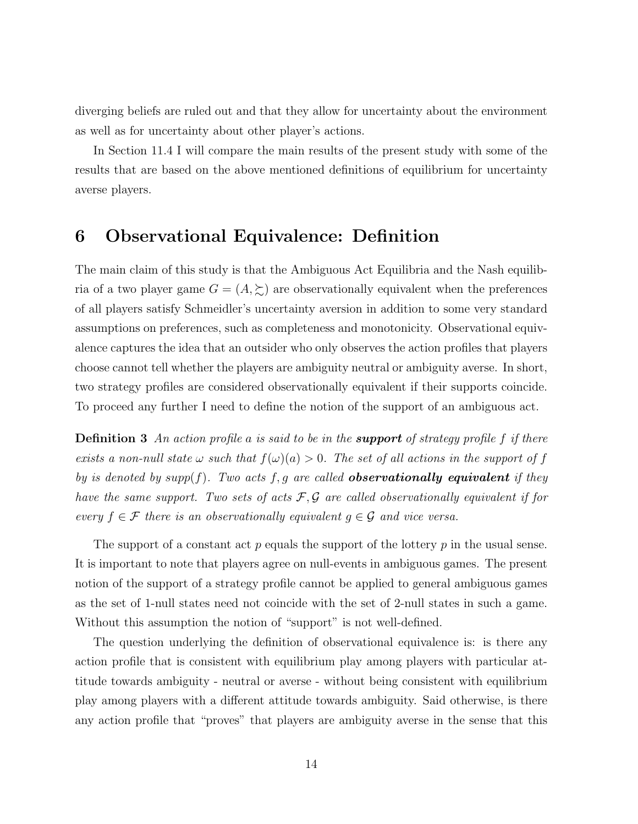diverging beliefs are ruled out and that they allow for uncertainty about the environment as well as for uncertainty about other player's actions.

In Section 11.4 I will compare the main results of the present study with some of the results that are based on the above mentioned definitions of equilibrium for uncertainty averse players.

### 6 Observational Equivalence: Definition

The main claim of this study is that the Ambiguous Act Equilibria and the Nash equilibria of a two player game  $G = (A, \succsim)$  are observationally equivalent when the preferences of all players satisfy Schmeidler's uncertainty aversion in addition to some very standard assumptions on preferences, such as completeness and monotonicity. Observational equivalence captures the idea that an outsider who only observes the action profiles that players choose cannot tell whether the players are ambiguity neutral or ambiguity averse. In short, two strategy profiles are considered observationally equivalent if their supports coincide. To proceed any further I need to define the notion of the support of an ambiguous act.

**Definition 3** An action profile a is said to be in the **support** of strategy profile f if there exists a non-null state  $\omega$  such that  $f(\omega)(a) > 0$ . The set of all actions in the support of f by is denoted by supp(f). Two acts f, g are called **observationally equivalent** if they have the same support. Two sets of acts  $\mathcal{F}, \mathcal{G}$  are called observationally equivalent if for every  $f \in \mathcal{F}$  there is an observationally equivalent  $g \in \mathcal{G}$  and vice versa.

The support of a constant act  $p$  equals the support of the lottery  $p$  in the usual sense. It is important to note that players agree on null-events in ambiguous games. The present notion of the support of a strategy profile cannot be applied to general ambiguous games as the set of 1-null states need not coincide with the set of 2-null states in such a game. Without this assumption the notion of "support" is not well-defined.

The question underlying the definition of observational equivalence is: is there any action profile that is consistent with equilibrium play among players with particular attitude towards ambiguity - neutral or averse - without being consistent with equilibrium play among players with a different attitude towards ambiguity. Said otherwise, is there any action profile that "proves" that players are ambiguity averse in the sense that this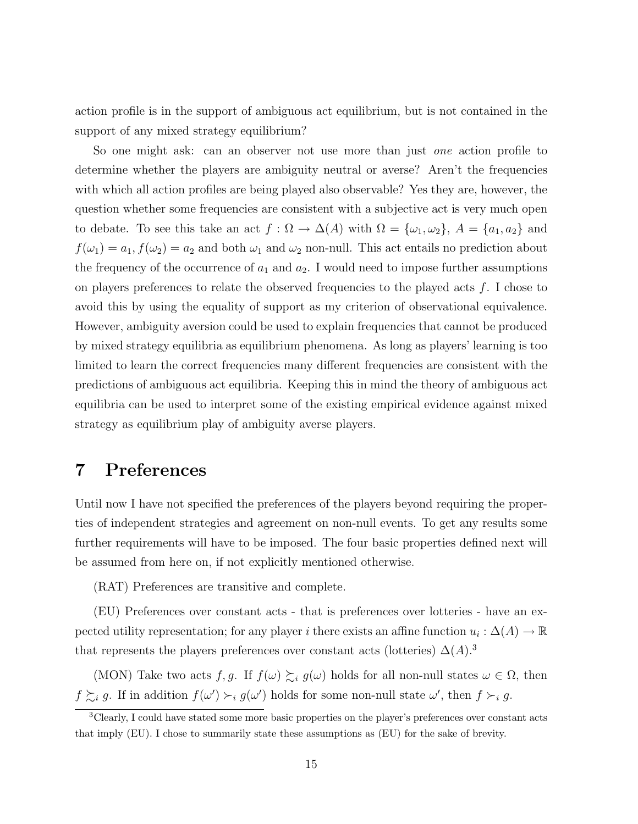action profile is in the support of ambiguous act equilibrium, but is not contained in the support of any mixed strategy equilibrium?

So one might ask: can an observer not use more than just *one* action profile to determine whether the players are ambiguity neutral or averse? Aren't the frequencies with which all action profiles are being played also observable? Yes they are, however, the question whether some frequencies are consistent with a subjective act is very much open to debate. To see this take an act  $f : \Omega \to \Delta(A)$  with  $\Omega = {\omega_1, \omega_2}, A = {a_1, a_2}$  and  $f(\omega_1) = a_1, f(\omega_2) = a_2$  and both  $\omega_1$  and  $\omega_2$  non-null. This act entails no prediction about the frequency of the occurrence of  $a_1$  and  $a_2$ . I would need to impose further assumptions on players preferences to relate the observed frequencies to the played acts f. I chose to avoid this by using the equality of support as my criterion of observational equivalence. However, ambiguity aversion could be used to explain frequencies that cannot be produced by mixed strategy equilibria as equilibrium phenomena. As long as players' learning is too limited to learn the correct frequencies many different frequencies are consistent with the predictions of ambiguous act equilibria. Keeping this in mind the theory of ambiguous act equilibria can be used to interpret some of the existing empirical evidence against mixed strategy as equilibrium play of ambiguity averse players.

### 7 Preferences

Until now I have not specified the preferences of the players beyond requiring the properties of independent strategies and agreement on non-null events. To get any results some further requirements will have to be imposed. The four basic properties defined next will be assumed from here on, if not explicitly mentioned otherwise.

(RAT) Preferences are transitive and complete.

(EU) Preferences over constant acts - that is preferences over lotteries - have an expected utility representation; for any player i there exists an affine function  $u_i : \Delta(A) \to \mathbb{R}$ that represents the players preferences over constant acts (lotteries)  $\Delta(A)$ .<sup>3</sup>

(MON) Take two acts f, g. If  $f(\omega) \succeq_i g(\omega)$  holds for all non-null states  $\omega \in \Omega$ , then  $f \succsim_i g$ . If in addition  $f(\omega') \succ_i g(\omega')$  holds for some non-null state  $\omega'$ , then  $f \succ_i g$ .

<sup>3</sup>Clearly, I could have stated some more basic properties on the player's preferences over constant acts that imply (EU). I chose to summarily state these assumptions as (EU) for the sake of brevity.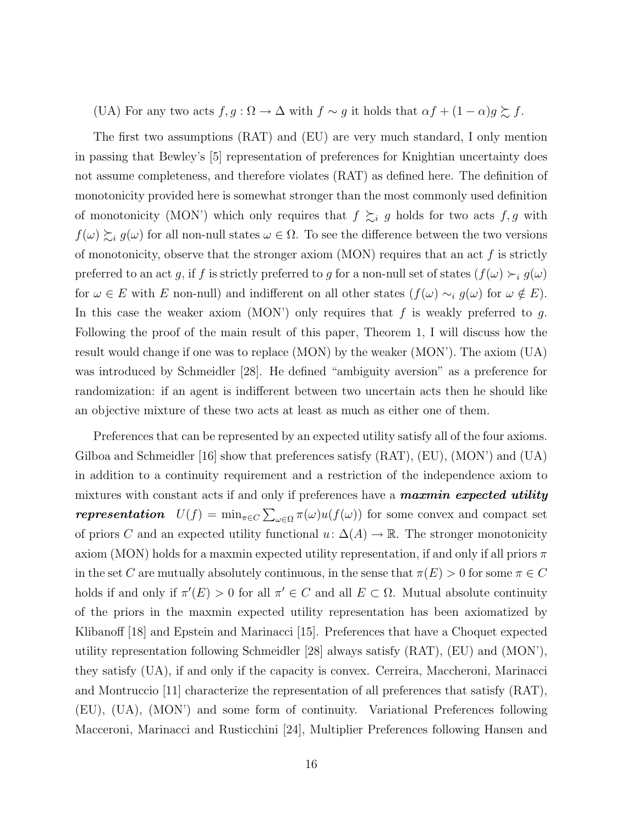(UA) For any two acts  $f, g : \Omega \to \Delta$  with  $f \sim g$  it holds that  $\alpha f + (1 - \alpha)g \succsim f$ .

The first two assumptions (RAT) and (EU) are very much standard, I only mention in passing that Bewley's [5] representation of preferences for Knightian uncertainty does not assume completeness, and therefore violates (RAT) as defined here. The definition of monotonicity provided here is somewhat stronger than the most commonly used definition of monotonicity (MON') which only requires that  $f \succeq_i g$  holds for two acts  $f, g$  with  $f(\omega) \succeq_i g(\omega)$  for all non-null states  $\omega \in \Omega$ . To see the difference between the two versions of monotonicity, observe that the stronger axiom (MON) requires that an act  $f$  is strictly preferred to an act g, if f is strictly preferred to g for a non-null set of states  $(f(\omega) \succ_i g(\omega))$ for  $\omega \in E$  with E non-null) and indifferent on all other states  $(f(\omega) \sim_i g(\omega)$  for  $\omega \notin E)$ . In this case the weaker axiom (MON') only requires that  $f$  is weakly preferred to  $g$ . Following the proof of the main result of this paper, Theorem 1, I will discuss how the result would change if one was to replace (MON) by the weaker (MON'). The axiom (UA) was introduced by Schmeidler [28]. He defined "ambiguity aversion" as a preference for randomization: if an agent is indifferent between two uncertain acts then he should like an objective mixture of these two acts at least as much as either one of them.

Preferences that can be represented by an expected utility satisfy all of the four axioms. Gilboa and Schmeidler [16] show that preferences satisfy (RAT), (EU), (MON') and (UA) in addition to a continuity requirement and a restriction of the independence axiom to mixtures with constant acts if and only if preferences have a *maxmin expected utility* **representation**  $U(f) = \min_{\pi \in C} \sum_{\omega \in \Omega} \pi(\omega)u(f(\omega))$  for some convex and compact set of priors C and an expected utility functional  $u: \Delta(A) \to \mathbb{R}$ . The stronger monotonicity axiom (MON) holds for a maxmin expected utility representation, if and only if all priors  $\pi$ in the set C are mutually absolutely continuous, in the sense that  $\pi(E) > 0$  for some  $\pi \in C$ holds if and only if  $\pi'(E) > 0$  for all  $\pi' \in C$  and all  $E \subset \Omega$ . Mutual absolute continuity of the priors in the maxmin expected utility representation has been axiomatized by Klibanoff [18] and Epstein and Marinacci [15]. Preferences that have a Choquet expected utility representation following Schmeidler [28] always satisfy (RAT), (EU) and (MON'), they satisfy (UA), if and only if the capacity is convex. Cerreira, Maccheroni, Marinacci and Montruccio [11] characterize the representation of all preferences that satisfy (RAT), (EU), (UA), (MON') and some form of continuity. Variational Preferences following Macceroni, Marinacci and Rusticchini [24], Multiplier Preferences following Hansen and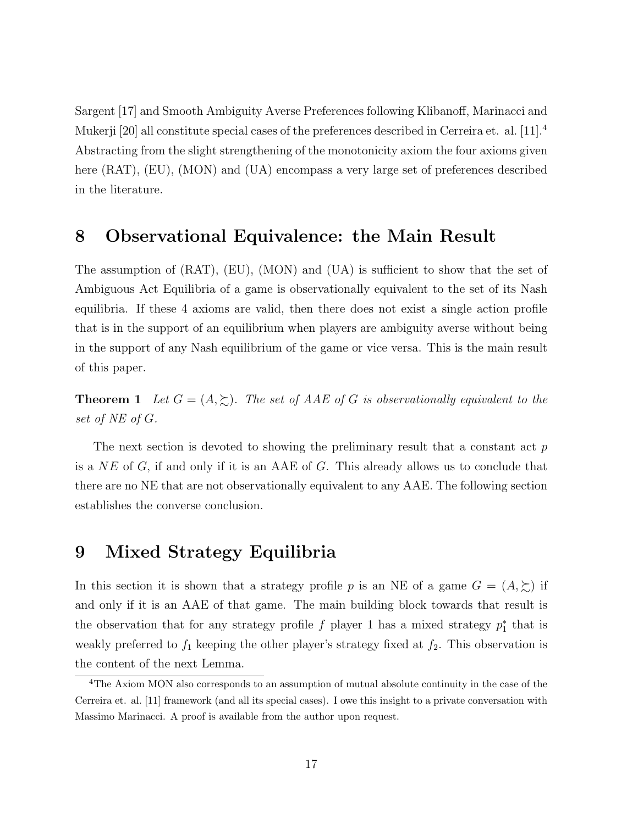Sargent [17] and Smooth Ambiguity Averse Preferences following Klibanoff, Marinacci and Mukerji [20] all constitute special cases of the preferences described in Cerreira et. al. [11].<sup>4</sup> Abstracting from the slight strengthening of the monotonicity axiom the four axioms given here (RAT), (EU), (MON) and (UA) encompass a very large set of preferences described in the literature.

### 8 Observational Equivalence: the Main Result

The assumption of (RAT), (EU), (MON) and (UA) is sufficient to show that the set of Ambiguous Act Equilibria of a game is observationally equivalent to the set of its Nash equilibria. If these 4 axioms are valid, then there does not exist a single action profile that is in the support of an equilibrium when players are ambiguity averse without being in the support of any Nash equilibrium of the game or vice versa. This is the main result of this paper.

**Theorem 1** Let  $G = (A, \succeq)$ . The set of AAE of G is observationally equivalent to the set of NE of G.

The next section is devoted to showing the preliminary result that a constant act  $p$ is a  $NE$  of G, if and only if it is an AAE of G. This already allows us to conclude that there are no NE that are not observationally equivalent to any AAE. The following section establishes the converse conclusion.

### 9 Mixed Strategy Equilibria

In this section it is shown that a strategy profile p is an NE of a game  $G = (A, \succsim)$  if and only if it is an AAE of that game. The main building block towards that result is the observation that for any strategy profile  $f$  player 1 has a mixed strategy  $p_1^*$  that is weakly preferred to  $f_1$  keeping the other player's strategy fixed at  $f_2$ . This observation is the content of the next Lemma.

<sup>&</sup>lt;sup>4</sup>The Axiom MON also corresponds to an assumption of mutual absolute continuity in the case of the Cerreira et. al. [11] framework (and all its special cases). I owe this insight to a private conversation with Massimo Marinacci. A proof is available from the author upon request.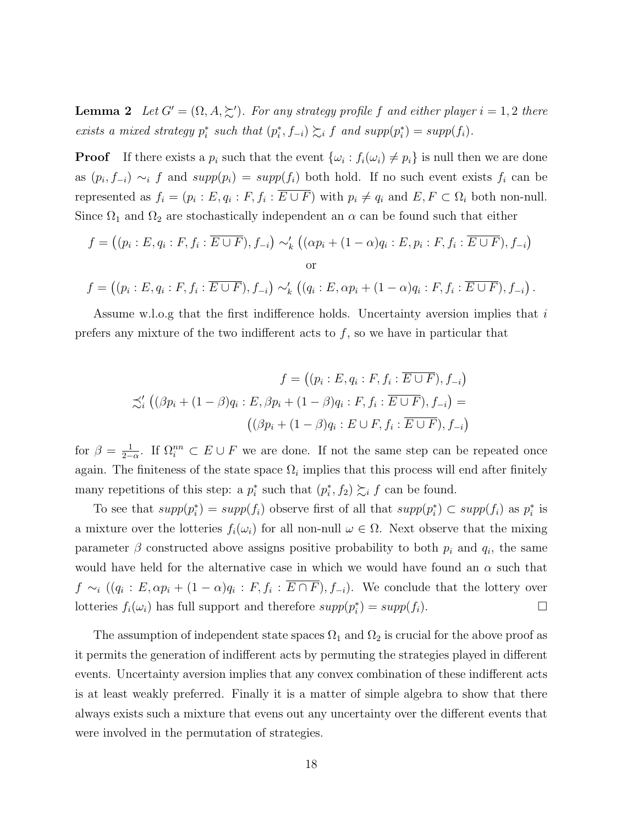**Lemma 2** Let  $G' = (\Omega, A, \succeq')$ . For any strategy profile f and either player  $i = 1, 2$  there exists a mixed strategy  $p_i^*$  such that  $(p_i^*, f_{-i}) \succsim_i f$  and  $supp(p_i^*) = supp(f_i)$ .

**Proof** If there exists a  $p_i$  such that the event  $\{\omega_i : f_i(\omega_i) \neq p_i\}$  is null then we are done as  $(p_i, f_{-i}) \sim_i f$  and  $supp(p_i) = supp(f_i)$  both hold. If no such event exists  $f_i$  can be represented as  $f_i = (p_i : E, q_i : F, f_i : \overline{E \cup F})$  with  $p_i \neq q_i$  and  $E, F \subset \Omega_i$  both non-null. Since  $\Omega_1$  and  $\Omega_2$  are stochastically independent an  $\alpha$  can be found such that either

$$
f = ((p_i : E, q_i : F, f_i : \overline{E \cup F}), f_{-i}) \sim'_k ((\alpha p_i + (1 - \alpha) q_i : E, p_i : F, f_i : \overline{E \cup F}), f_{-i})
$$
  
or  

$$
f = ((p_i : E, q_i : F, f_i : \overline{E \cup F}), f_{-i}) \sim'_k ((q_i : E, \alpha p_i + (1 - \alpha) q_i : F, f_i : \overline{E \cup F}), f_{-i}).
$$

Assume w.l.o.g that the first indifference holds. Uncertainty aversion implies that  $i$ prefers any mixture of the two indifferent acts to  $f$ , so we have in particular that

$$
f = ((p_i : E, q_i : F, f_i : \overline{E \cup F}), f_{-i})
$$
  

$$
\preceq'_i ((\beta p_i + (1 - \beta)q_i : E, \beta p_i + (1 - \beta)q_i : F, f_i : \overline{E \cup F}), f_{-i}) =
$$
  

$$
((\beta p_i + (1 - \beta)q_i : E \cup F, f_i : \overline{E \cup F}), f_{-i})
$$

for  $\beta = \frac{1}{2}$  $\frac{1}{2-\alpha}$ . If  $\Omega_i^{nn}$  ⊂  $E \cup F$  we are done. If not the same step can be repeated once again. The finiteness of the state space  $\Omega_i$  implies that this process will end after finitely many repetitions of this step: a  $p_i^*$  such that  $(p_i^*, f_2) \succsim_i f$  can be found.

To see that  $supp(p_i^*) = supp(f_i)$  observe first of all that  $supp(p_i^*) \subset supp(f_i)$  as  $p_i^*$  is a mixture over the lotteries  $f_i(\omega_i)$  for all non-null  $\omega \in \Omega$ . Next observe that the mixing parameter  $\beta$  constructed above assigns positive probability to both  $p_i$  and  $q_i$ , the same would have held for the alternative case in which we would have found an  $\alpha$  such that  $f \sim_i ( (q_i : E, \alpha p_i + (1 - \alpha) q_i : F, f_i : \overline{E \cap F}), f_{-i}).$  We conclude that the lottery over lotteries  $f_i(\omega_i)$  has full support and therefore  $supp(p_i^*) = supp(f_i)$ .

The assumption of independent state spaces  $\Omega_1$  and  $\Omega_2$  is crucial for the above proof as it permits the generation of indifferent acts by permuting the strategies played in different events. Uncertainty aversion implies that any convex combination of these indifferent acts is at least weakly preferred. Finally it is a matter of simple algebra to show that there always exists such a mixture that evens out any uncertainty over the different events that were involved in the permutation of strategies.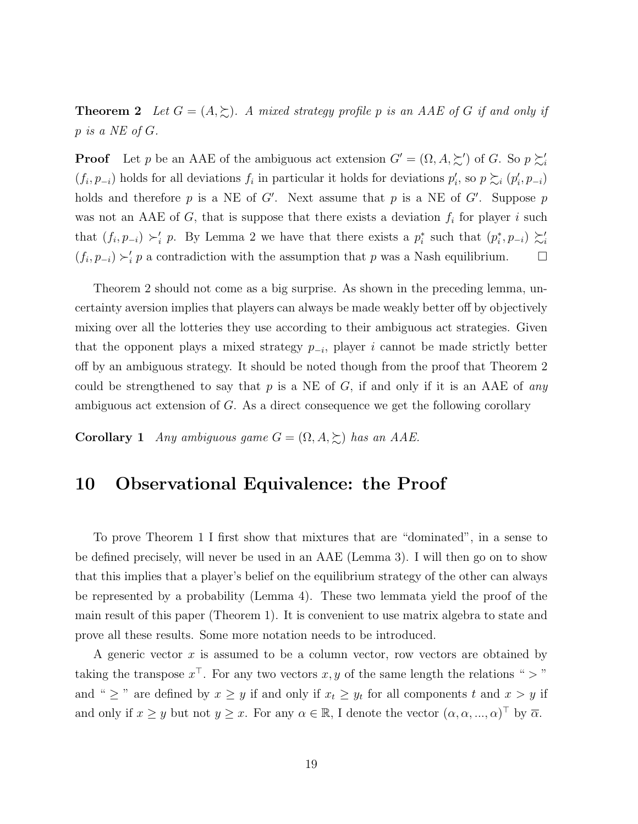**Theorem 2** Let  $G = (A, \succeq)$ . A mixed strategy profile p is an AAE of G if and only if p is a NE of G.

**Proof** Let p be an AAE of the ambiguous act extension  $G' = (\Omega, A, \succsim')$  of G. So  $p \succsim'_{i}$  $(f_i, p_{-i})$  holds for all deviations  $f_i$  in particular it holds for deviations  $p'_i$ , so  $p \succsim_i (p'_i, p_{-i})$ holds and therefore  $p$  is a NE of  $G'$ . Next assume that  $p$  is a NE of  $G'$ . Suppose  $p$ was not an AAE of  $G$ , that is suppose that there exists a deviation  $f_i$  for player i such that  $(f_i, p_{-i}) \succ'_i p$ . By Lemma 2 we have that there exists a  $p_i^*$  such that  $(p_i^*, p_{-i}) \succ'_i p$ .  $(f_i, p_{-i}) \succ'_i p$  a contradiction with the assumption that p was a Nash equilibrium.  $\Box$ 

Theorem 2 should not come as a big surprise. As shown in the preceding lemma, uncertainty aversion implies that players can always be made weakly better off by objectively mixing over all the lotteries they use according to their ambiguous act strategies. Given that the opponent plays a mixed strategy  $p_{-i}$ , player i cannot be made strictly better off by an ambiguous strategy. It should be noted though from the proof that Theorem 2 could be strengthened to say that p is a NE of G, if and only if it is an AAE of any ambiguous act extension of G. As a direct consequence we get the following corollary

**Corollary 1** Any ambiguous game  $G = (\Omega, A, \Sigma)$  has an AAE.

### 10 Observational Equivalence: the Proof

To prove Theorem 1 I first show that mixtures that are "dominated", in a sense to be defined precisely, will never be used in an AAE (Lemma 3). I will then go on to show that this implies that a player's belief on the equilibrium strategy of the other can always be represented by a probability (Lemma 4). These two lemmata yield the proof of the main result of this paper (Theorem 1). It is convenient to use matrix algebra to state and prove all these results. Some more notation needs to be introduced.

A generic vector  $x$  is assumed to be a column vector, row vectors are obtained by taking the transpose  $x^{\top}$ . For any two vectors  $x, y$  of the same length the relations " > " and "  $\geq$  " are defined by  $x \geq y$  if and only if  $x_t \geq y_t$  for all components t and  $x > y$  if and only if  $x \geq y$  but not  $y \geq x$ . For any  $\alpha \in \mathbb{R}$ , I denote the vector  $(\alpha, \alpha, ..., \alpha)^{\top}$  by  $\overline{\alpha}$ .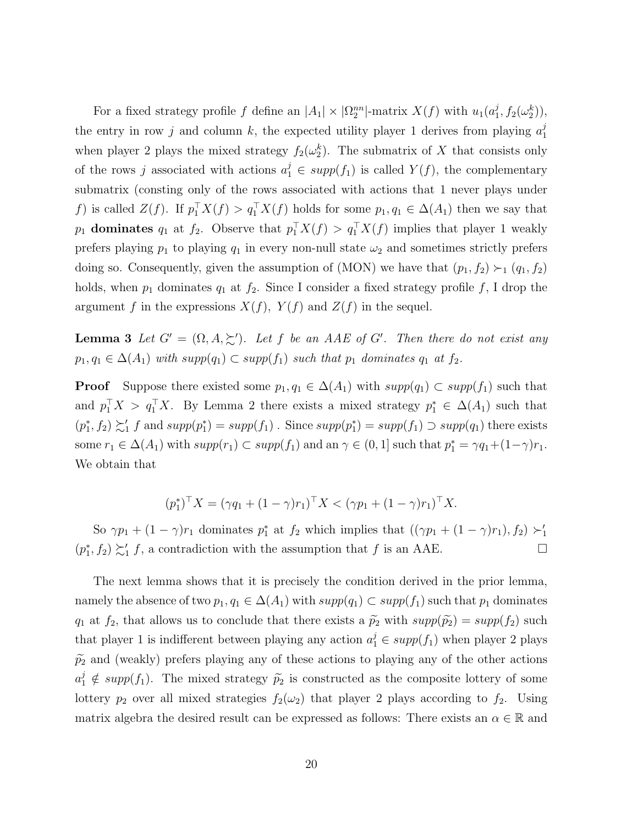For a fixed strategy profile f define an  $|A_1| \times |\Omega_2^{nn}|$ -matrix  $X(f)$  with  $u_1(a_1^j)$  $j_{1}^{j},f_{2}(\omega_{2}^{k})),$ the entry in row j and column k, the expected utility player 1 derives from playing  $a_1^j$ 1 when player 2 plays the mixed strategy  $f_2(\omega_2^k)$ . The submatrix of X that consists only of the rows j associated with actions  $a_1^j \in supp(f_1)$  is called  $Y(f)$ , the complementary submatrix (consting only of the rows associated with actions that 1 never plays under f) is called  $Z(f)$ . If  $p_1^{\top}X(f) > q_1^{\top}X(f)$  holds for some  $p_1, q_1 \in \Delta(A_1)$  then we say that  $p_1$  dominates  $q_1$  at  $f_2$ . Observe that  $p_1^{\top}X(f) > q_1^{\top}X(f)$  implies that player 1 weakly prefers playing  $p_1$  to playing  $q_1$  in every non-null state  $\omega_2$  and sometimes strictly prefers doing so. Consequently, given the assumption of (MON) we have that  $(p_1, f_2) \succ_1 (q_1, f_2)$ holds, when  $p_1$  dominates  $q_1$  at  $f_2$ . Since I consider a fixed strategy profile f, I drop the argument f in the expressions  $X(f)$ ,  $Y(f)$  and  $Z(f)$  in the sequel.

**Lemma 3** Let  $G' = (\Omega, A, \succeq')$ . Let f be an AAE of G'. Then there do not exist any  $p_1, q_1 \in \Delta(A_1)$  with  $supp(q_1) \subset supp(f_1)$  such that  $p_1$  dominates  $q_1$  at  $f_2$ .

**Proof** Suppose there existed some  $p_1, q_1 \in \Delta(A_1)$  with  $supp(q_1) \subset supp(f_1)$  such that and  $p_1^{\top}X > q_1^{\top}X$ . By Lemma 2 there exists a mixed strategy  $p_1^* \in \Delta(A_1)$  such that  $(p_1^*, f_2) \succeq_1' f$  and  $supp(p_1^*) = supp(f_1)$ . Since  $supp(p_1^*) = supp(f_1) \supset supp(q_1)$  there exists some  $r_1 \in \Delta(A_1)$  with  $supp(r_1) \subset supp(f_1)$  and an  $\gamma \in (0,1]$  such that  $p_1^* = \gamma q_1 + (1-\gamma)r_1$ . We obtain that

$$
(p_1^*)^{\top} X = (\gamma q_1 + (1 - \gamma)r_1)^{\top} X < (\gamma p_1 + (1 - \gamma)r_1)^{\top} X.
$$

So  $\gamma p_1 + (1 - \gamma)r_1$  dominates  $p_1^*$  at  $f_2$  which implies that  $((\gamma p_1 + (1 - \gamma)r_1), f_2) \succ'_1$  $(p_1^*, f_2) \succsim_1' f$ , a contradiction with the assumption that f is an AAE.

The next lemma shows that it is precisely the condition derived in the prior lemma, namely the absence of two  $p_1, q_1 \in \Delta(A_1)$  with  $supp(q_1) \subset supp(f_1)$  such that  $p_1$  dominates  $q_1$  at  $f_2$ , that allows us to conclude that there exists a  $\tilde{p_2}$  with  $supp(\tilde{p_2}) = supp(f_2)$  such that player 1 is indifferent between playing any action  $a_1^j \in supp(f_1)$  when player 2 plays  $\tilde{p}_2$  and (weakly) prefers playing any of these actions to playing any of the other actions  $a_1^j \notin supp(f_1)$ . The mixed strategy  $\tilde{p}_2$  is constructed as the composite lottery of some lottery  $p_2$  over all mixed strategies  $f_2(\omega_2)$  that player 2 plays according to  $f_2$ . Using matrix algebra the desired result can be expressed as follows: There exists an  $\alpha \in \mathbb{R}$  and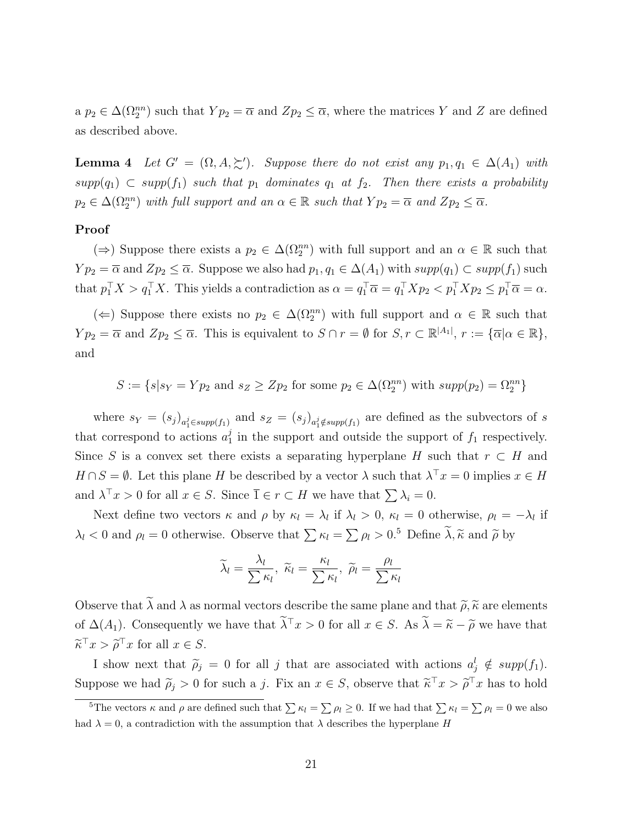$a p_2 \in \Delta(\Omega_2^{nn})$  such that  $Y p_2 = \overline{\alpha}$  and  $Z p_2 \le \overline{\alpha}$ , where the matrices Y and Z are defined as described above.

**Lemma 4** Let  $G' = (\Omega, A, \Sigma')$ . Suppose there do not exist any  $p_1, q_1 \in \Delta(A_1)$  with supp $(q_1) \subset supp(f_1)$  such that  $p_1$  dominates  $q_1$  at  $f_2$ . Then there exists a probability  $p_2 \in \Delta(\Omega_2^{nn})$  with full support and an  $\alpha \in \mathbb{R}$  such that  $Yp_2 = \overline{\alpha}$  and  $Zp_2 \leq \overline{\alpha}$ .

#### Proof

(⇒) Suppose there exists a  $p_2 \in \Delta(\Omega_2^{nn})$  with full support and an  $\alpha \in \mathbb{R}$  such that  $Y p_2 = \overline{\alpha}$  and  $Z p_2 \le \overline{\alpha}$ . Suppose we also had  $p_1, q_1 \in \Delta(A_1)$  with  $supp(q_1) \subset supp(f_1)$  such that  $p_1^{\top} X > q_1^{\top} X$ . This yields a contradiction as  $\alpha = q_1^{\top} \overline{\alpha} = q_1^{\top} X p_2 < p_1^{\top} X p_2 \leq p_1^{\top} \overline{\alpha} = \alpha$ .

(←) Suppose there exists no  $p_2 \in \Delta(\Omega_2^{nn})$  with full support and  $\alpha \in \mathbb{R}$  such that  $Y p_2 = \overline{\alpha}$  and  $Z p_2 \leq \overline{\alpha}$ . This is equivalent to  $S \cap r = \emptyset$  for  $S, r \subset \mathbb{R}^{|A_1|}, r := \{\overline{\alpha} | \alpha \in \mathbb{R}\},$ and

$$
S := \{s | s_Y = Yp_2 \text{ and } s_Z \ge Zp_2 \text{ for some } p_2 \in \Delta(\Omega_2^{nn}) \text{ with } supp(p_2) = \Omega_2^{nn} \}
$$

where  $s_Y = (s_j)_{a_1^j \in supp(f_1)}$  and  $s_Z = (s_j)_{a_1^j \notin supp(f_1)}$  are defined as the subvectors of s that correspond to actions  $a_1^j$  $j_1$  in the support and outside the support of  $f_1$  respectively. Since S is a convex set there exists a separating hyperplane H such that  $r \subset H$  and  $H \cap S = \emptyset$ . Let this plane H be described by a vector  $\lambda$  such that  $\lambda^{\top} x = 0$  implies  $x \in H$ and  $\lambda^{\top} x > 0$  for all  $x \in S$ . Since  $\overline{1} \in r \subset H$  we have that  $\sum \lambda_i = 0$ .

Next define two vectors  $\kappa$  and  $\rho$  by  $\kappa_l = \lambda_l$  if  $\lambda_l > 0$ ,  $\kappa_l = 0$  otherwise,  $\rho_l = -\lambda_l$  if  $\lambda_l < 0$  and  $\rho_l = 0$  otherwise. Observe that  $\sum \kappa_l = \sum \rho_l > 0.5$  Define  $\tilde{\lambda}, \tilde{\kappa}$  and  $\tilde{\rho}$  by

$$
\widetilde{\lambda}_l = \frac{\lambda_l}{\sum \kappa_l}, \ \widetilde{\kappa}_l = \frac{\kappa_l}{\sum \kappa_l}, \ \widetilde{\rho}_l = \frac{\rho_l}{\sum \kappa_l}
$$

Observe that  $\widetilde{\lambda}$  and  $\lambda$  as normal vectors describe the same plane and that  $\widetilde{\rho}, \widetilde{\kappa}$  are elements of  $\Delta(A_1)$ . Consequently we have that  $\widetilde{\lambda}^T x > 0$  for all  $x \in S$ . As  $\widetilde{\lambda} = \widetilde{\kappa} - \widetilde{\rho}$  we have that  $\widetilde{\kappa}^\top x > \widetilde{\rho}^\top x$  for all  $x \in S$ .

I show next that  $\tilde{\rho}_j = 0$  for all j that are associated with actions  $a_j^l \notin supp(f_1)$ . Suppose we had  $\tilde{\rho}_j > 0$  for such a j. Fix an  $x \in S$ , observe that  $\tilde{\kappa}^\top x > \tilde{\rho}^\top x$  has to hold

<sup>&</sup>lt;sup>5</sup>The vectors  $\kappa$  and  $\rho$  are defined such that  $\sum \kappa_l = \sum \rho_l \ge 0$ . If we had that  $\sum \kappa_l = \sum \rho_l = 0$  we also had  $\lambda = 0$ , a contradiction with the assumption that  $\lambda$  describes the hyperplane H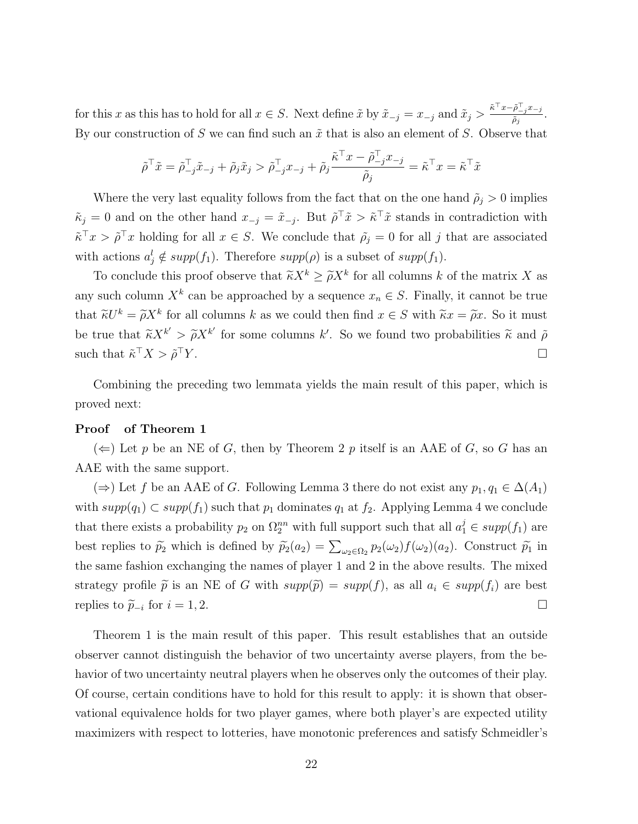for this x as this has to hold for all  $x \in S$ . Next define  $\tilde{x}$  by  $\tilde{x}_{-j} = x_{-j}$  and  $\tilde{x}_j > \frac{\tilde{\kappa}^\top x - \tilde{\rho}^\top_{-j} x_{-j}}{\tilde{\rho}_i}$  $\frac{\overline{p}_j x_j}{\tilde{\rho}_j}$  . By our construction of S we can find such an  $\tilde{x}$  that is also an element of S. Observe that

$$
\tilde{\rho}^{\top}\tilde{x} = \tilde{\rho}_{-j}^{\top}\tilde{x}_{-j} + \tilde{\rho}_j\tilde{x}_j > \tilde{\rho}_{-j}^{\top}x_{-j} + \tilde{\rho}_j\frac{\tilde{\kappa}^{\top}x - \tilde{\rho}_{-j}^{\top}x_{-j}}{\tilde{\rho}_j} = \tilde{\kappa}^{\top}x = \tilde{\kappa}^{\top}\tilde{x}
$$

Where the very last equality follows from the fact that on the one hand  $\tilde{\rho}_j > 0$  implies  $\tilde{\kappa}_j = 0$  and on the other hand  $x_{-j} = \tilde{x}_{-j}$ . But  $\tilde{\rho}^\top \tilde{x} > \tilde{\kappa}^\top \tilde{x}$  stands in contradiction with  $\tilde{\kappa}^\top x > \tilde{\rho}^\top x$  holding for all  $x \in S$ . We conclude that  $\tilde{\rho}_j = 0$  for all j that are associated with actions  $a_j^l \notin supp(f_1)$ . Therefore  $supp(\rho)$  is a subset of  $supp(f_1)$ .

To conclude this proof observe that  $\widetilde{\kappa}X^k \geq \widetilde{\rho}X^k$  for all columns k of the matrix X as any such column  $X^k$  can be approached by a sequence  $x_n \in S$ . Finally, it cannot be true that  $\tilde{\kappa}U^k = \tilde{\rho}X^k$  for all columns k as we could then find  $x \in S$  with  $\tilde{\kappa}x = \tilde{\rho}x$ . So it must be true that  $\tilde{\kappa}X^{k'} > \tilde{\rho}X^{k'}$  for some columns k'. So we found two probabilities  $\tilde{\kappa}$  and  $\tilde{\rho}$ such that  $\tilde{\kappa}^\top X > \tilde{\rho}$  $\mathsf{T} Y.$ 

Combining the preceding two lemmata yields the main result of this paper, which is proved next:

#### Proof of Theorem 1

 $(\Leftarrow)$  Let p be an NE of G, then by Theorem 2 p itself is an AAE of G, so G has an AAE with the same support.

(⇒) Let f be an AAE of G. Following Lemma 3 there do not exist any  $p_1, q_1 \in \Delta(A_1)$ with  $supp(q_1) \subset supp(f_1)$  such that  $p_1$  dominates  $q_1$  at  $f_2$ . Applying Lemma 4 we conclude that there exists a probability  $p_2$  on  $\Omega_2^{nn}$  with full support such that all  $a_1^j \in supp(f_1)$  are best replies to  $\tilde{p}_2$  which is defined by  $\tilde{p}_2(a_2) = \sum_{\omega_2 \in \Omega_2} p_2(\omega_2) f(\omega_2)(a_2)$ . Construct  $\tilde{p}_1$  in the same fashion exchanging the names of player 1 and 2 in the above results. The mixed strategy profile  $\tilde{p}$  is an NE of G with  $supp(\tilde{p}) = supp(f)$ , as all  $a_i \in supp(f_i)$  are best replies to  $\tilde{p}_{-i}$  for  $i = 1, 2$ . replies to  $\tilde{p}_{-i}$  for  $i = 1, 2$ .

Theorem 1 is the main result of this paper. This result establishes that an outside observer cannot distinguish the behavior of two uncertainty averse players, from the behavior of two uncertainty neutral players when he observes only the outcomes of their play. Of course, certain conditions have to hold for this result to apply: it is shown that observational equivalence holds for two player games, where both player's are expected utility maximizers with respect to lotteries, have monotonic preferences and satisfy Schmeidler's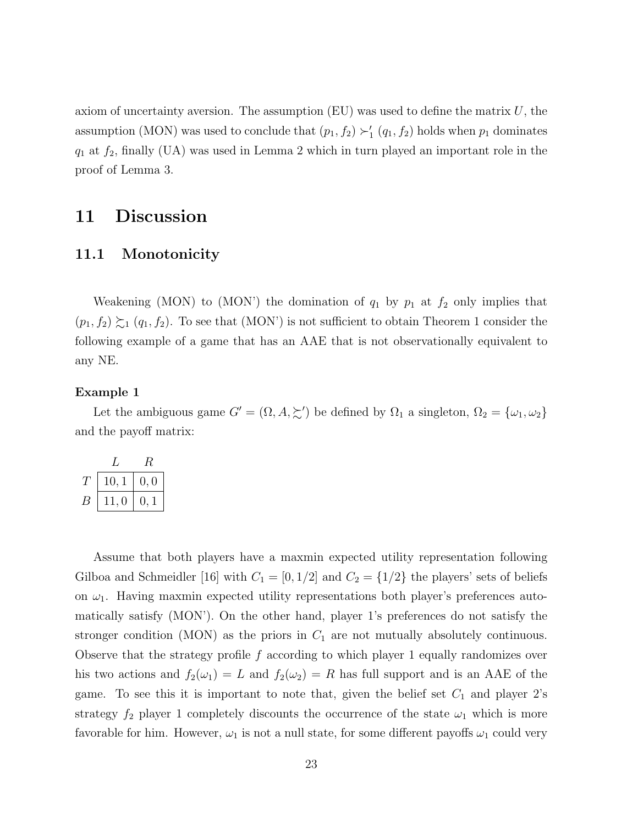axiom of uncertainty aversion. The assumption (EU) was used to define the matrix  $U$ , the assumption (MON) was used to conclude that  $(p_1, f_2) \succ'_1 (q_1, f_2)$  holds when  $p_1$  dominates  $q_1$  at  $f_2$ , finally (UA) was used in Lemma 2 which in turn played an important role in the proof of Lemma 3.

### 11 Discussion

#### 11.1 Monotonicity

Weakening (MON) to (MON') the domination of  $q_1$  by  $p_1$  at  $f_2$  only implies that  $(p_1, f_2) \succsim_1 (q_1, f_2)$ . To see that (MON') is not sufficient to obtain Theorem 1 consider the following example of a game that has an AAE that is not observationally equivalent to any NE.

#### Example 1

Let the ambiguous game  $G' = (\Omega, A, \succeq')$  be defined by  $\Omega_1$  a singleton,  $\Omega_2 = {\omega_1, \omega_2}$ and the payoff matrix:

|    | $\mathcal{L}$ | K.   |
|----|---------------|------|
| Ί' | 10, 1         | 0, 0 |
| B  | 11,0          | 0, 1 |

Assume that both players have a maxmin expected utility representation following Gilboa and Schmeidler [16] with  $C_1 = [0, 1/2]$  and  $C_2 = \{1/2\}$  the players' sets of beliefs on  $\omega_1$ . Having maxmin expected utility representations both player's preferences automatically satisfy (MON'). On the other hand, player 1's preferences do not satisfy the stronger condition (MON) as the priors in  $C_1$  are not mutually absolutely continuous. Observe that the strategy profile  $f$  according to which player 1 equally randomizes over his two actions and  $f_2(\omega_1) = L$  and  $f_2(\omega_2) = R$  has full support and is an AAE of the game. To see this it is important to note that, given the belief set  $C_1$  and player 2's strategy  $f_2$  player 1 completely discounts the occurrence of the state  $\omega_1$  which is more favorable for him. However,  $\omega_1$  is not a null state, for some different payoffs  $\omega_1$  could very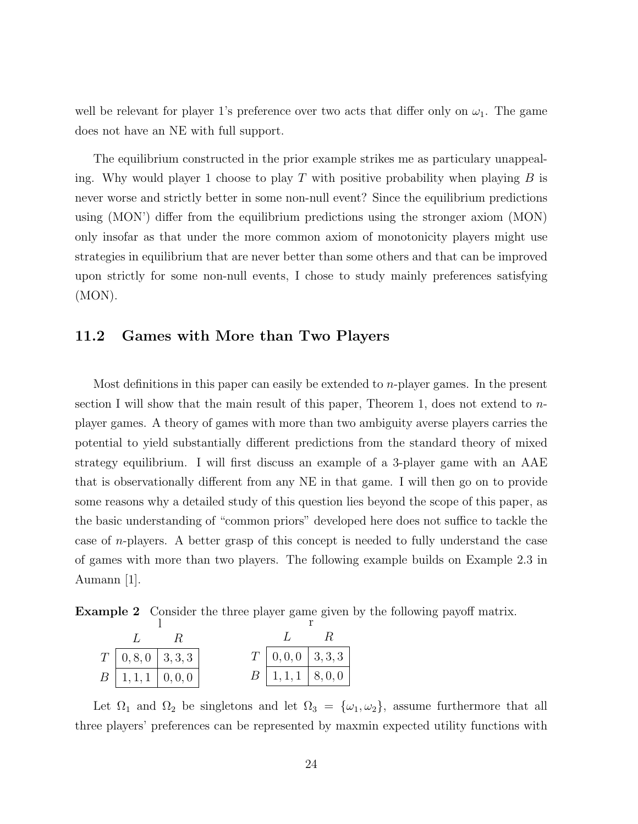well be relevant for player 1's preference over two acts that differ only on  $\omega_1$ . The game does not have an NE with full support.

The equilibrium constructed in the prior example strikes me as particulary unappealing. Why would player 1 choose to play T with positive probability when playing  $B$  is never worse and strictly better in some non-null event? Since the equilibrium predictions using (MON') differ from the equilibrium predictions using the stronger axiom (MON) only insofar as that under the more common axiom of monotonicity players might use strategies in equilibrium that are never better than some others and that can be improved upon strictly for some non-null events, I chose to study mainly preferences satisfying (MON).

#### 11.2 Games with More than Two Players

Most definitions in this paper can easily be extended to  $n$ -player games. In the present section I will show that the main result of this paper, Theorem 1, does not extend to  $n$ player games. A theory of games with more than two ambiguity averse players carries the potential to yield substantially different predictions from the standard theory of mixed strategy equilibrium. I will first discuss an example of a 3-player game with an AAE that is observationally different from any NE in that game. I will then go on to provide some reasons why a detailed study of this question lies beyond the scope of this paper, as the basic understanding of "common priors" developed here does not suffice to tackle the case of n-players. A better grasp of this concept is needed to fully understand the case of games with more than two players. The following example builds on Example 2.3 in Aumann [1].

**Example 2** Consider the three player game given by the following payoff matrix.

|  |                                         | 1 v O O |                               |                                |
|--|-----------------------------------------|---------|-------------------------------|--------------------------------|
|  |                                         |         |                               | R                              |
|  | $T \mid 0, 8, 0 \mid 3, 3, 3$           |         |                               | $T \mid 0,0,0 \mid 3,3,3 \mid$ |
|  | $B\left[1,1,1\right]\left[0,0,0\right]$ |         | $B \mid 1, 1, 1 \mid 8, 0, 0$ |                                |

Let  $\Omega_1$  and  $\Omega_2$  be singletons and let  $\Omega_3 = {\omega_1, \omega_2}$ , assume furthermore that all three players' preferences can be represented by maxmin expected utility functions with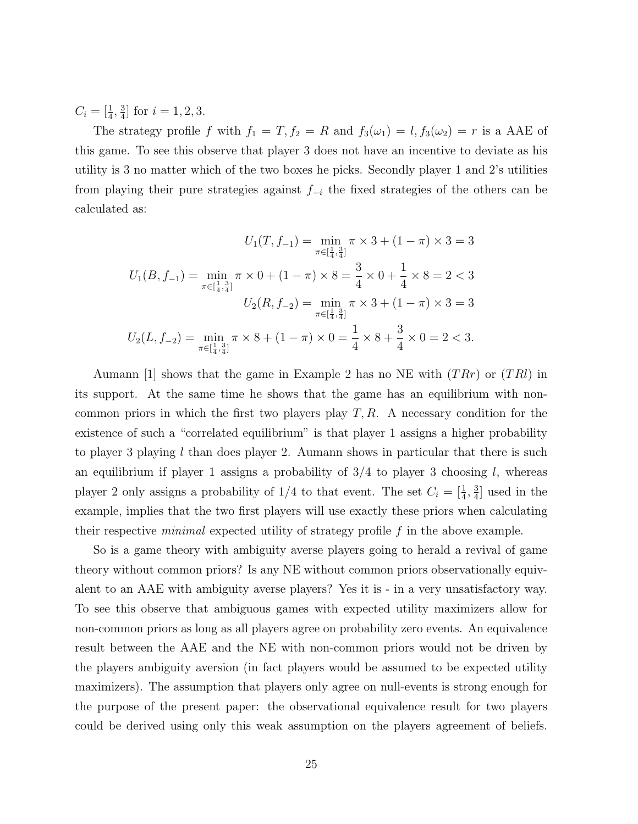$C_i = [\frac{1}{4}, \frac{3}{4}]$  $\frac{3}{4}$  for  $i = 1, 2, 3$ .

The strategy profile f with  $f_1 = T$ ,  $f_2 = R$  and  $f_3(\omega_1) = l$ ,  $f_3(\omega_2) = r$  is a AAE of this game. To see this observe that player 3 does not have an incentive to deviate as his utility is 3 no matter which of the two boxes he picks. Secondly player 1 and 2's utilities from playing their pure strategies against  $f_{-i}$  the fixed strategies of the others can be calculated as:

$$
U_1(T, f_{-1}) = \min_{\pi \in [\frac{1}{4}, \frac{3}{4}]} \pi \times 3 + (1 - \pi) \times 3 = 3
$$
  

$$
U_1(B, f_{-1}) = \min_{\pi \in [\frac{1}{4}, \frac{3}{4}]} \pi \times 0 + (1 - \pi) \times 8 = \frac{3}{4} \times 0 + \frac{1}{4} \times 8 = 2 < 3
$$
  

$$
U_2(R, f_{-2}) = \min_{\pi \in [\frac{1}{4}, \frac{3}{4}]} \pi \times 3 + (1 - \pi) \times 3 = 3
$$
  

$$
U_2(L, f_{-2}) = \min_{\pi \in [\frac{1}{4}, \frac{3}{4}]} \pi \times 8 + (1 - \pi) \times 0 = \frac{1}{4} \times 8 + \frac{3}{4} \times 0 = 2 < 3.
$$

Aumann [1] shows that the game in Example 2 has no NE with  $(T R r)$  or  $(T R l)$  in its support. At the same time he shows that the game has an equilibrium with noncommon priors in which the first two players play  $T, R$ . A necessary condition for the existence of such a "correlated equilibrium" is that player 1 assigns a higher probability to player 3 playing l than does player 2. Aumann shows in particular that there is such an equilibrium if player 1 assigns a probability of  $3/4$  to player 3 choosing l, whereas player 2 only assigns a probability of  $1/4$  to that event. The set  $C_i = \left[\frac{1}{4}, \frac{3}{4}\right]$  $\frac{3}{4}$  used in the example, implies that the two first players will use exactly these priors when calculating their respective *minimal* expected utility of strategy profile  $f$  in the above example.

So is a game theory with ambiguity averse players going to herald a revival of game theory without common priors? Is any NE without common priors observationally equivalent to an AAE with ambiguity averse players? Yes it is - in a very unsatisfactory way. To see this observe that ambiguous games with expected utility maximizers allow for non-common priors as long as all players agree on probability zero events. An equivalence result between the AAE and the NE with non-common priors would not be driven by the players ambiguity aversion (in fact players would be assumed to be expected utility maximizers). The assumption that players only agree on null-events is strong enough for the purpose of the present paper: the observational equivalence result for two players could be derived using only this weak assumption on the players agreement of beliefs.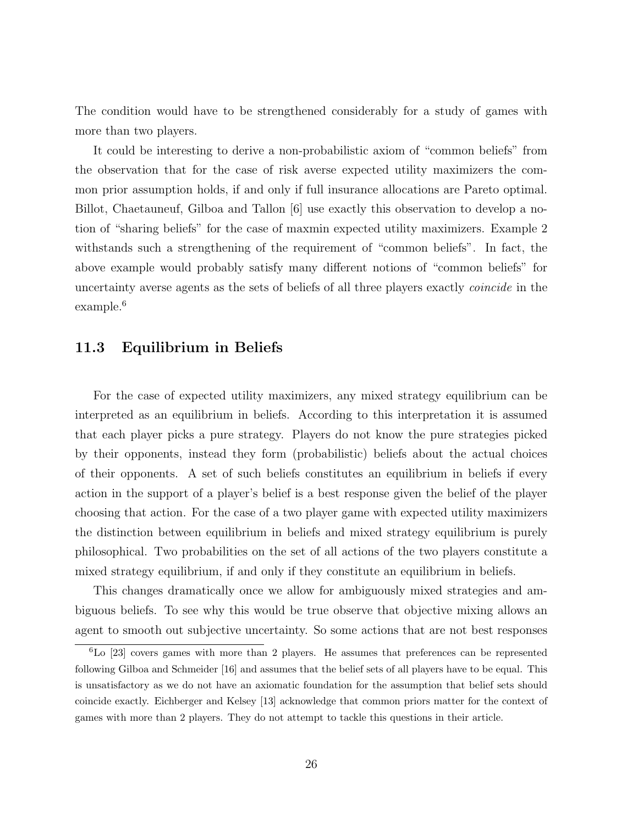The condition would have to be strengthened considerably for a study of games with more than two players.

It could be interesting to derive a non-probabilistic axiom of "common beliefs" from the observation that for the case of risk averse expected utility maximizers the common prior assumption holds, if and only if full insurance allocations are Pareto optimal. Billot, Chaetauneuf, Gilboa and Tallon [6] use exactly this observation to develop a notion of "sharing beliefs" for the case of maxmin expected utility maximizers. Example 2 withstands such a strengthening of the requirement of "common beliefs". In fact, the above example would probably satisfy many different notions of "common beliefs" for uncertainty averse agents as the sets of beliefs of all three players exactly coincide in the example.<sup>6</sup>

#### 11.3 Equilibrium in Beliefs

For the case of expected utility maximizers, any mixed strategy equilibrium can be interpreted as an equilibrium in beliefs. According to this interpretation it is assumed that each player picks a pure strategy. Players do not know the pure strategies picked by their opponents, instead they form (probabilistic) beliefs about the actual choices of their opponents. A set of such beliefs constitutes an equilibrium in beliefs if every action in the support of a player's belief is a best response given the belief of the player choosing that action. For the case of a two player game with expected utility maximizers the distinction between equilibrium in beliefs and mixed strategy equilibrium is purely philosophical. Two probabilities on the set of all actions of the two players constitute a mixed strategy equilibrium, if and only if they constitute an equilibrium in beliefs.

This changes dramatically once we allow for ambiguously mixed strategies and ambiguous beliefs. To see why this would be true observe that objective mixing allows an agent to smooth out subjective uncertainty. So some actions that are not best responses

 ${}^{6}$ Lo [23] covers games with more than 2 players. He assumes that preferences can be represented following Gilboa and Schmeider [16] and assumes that the belief sets of all players have to be equal. This is unsatisfactory as we do not have an axiomatic foundation for the assumption that belief sets should coincide exactly. Eichberger and Kelsey [13] acknowledge that common priors matter for the context of games with more than 2 players. They do not attempt to tackle this questions in their article.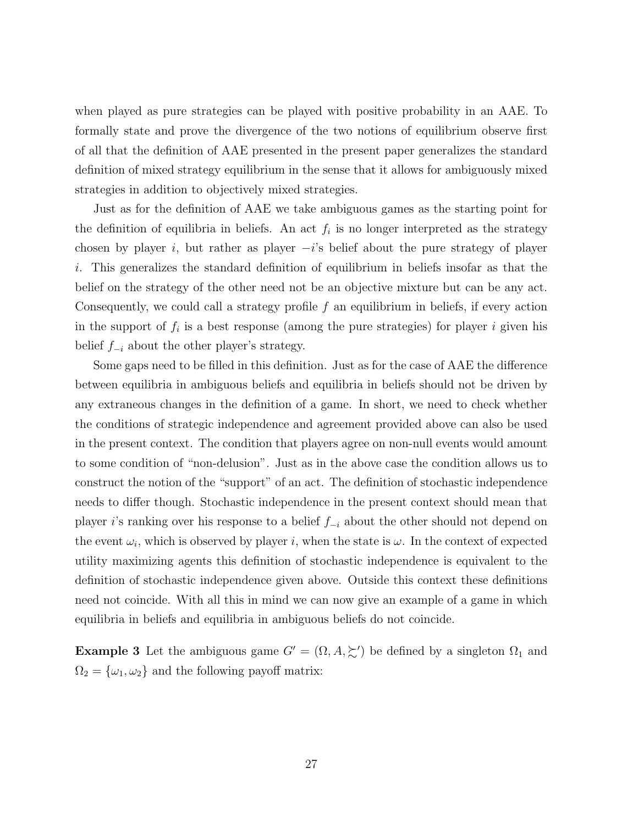when played as pure strategies can be played with positive probability in an AAE. To formally state and prove the divergence of the two notions of equilibrium observe first of all that the definition of AAE presented in the present paper generalizes the standard definition of mixed strategy equilibrium in the sense that it allows for ambiguously mixed strategies in addition to objectively mixed strategies.

Just as for the definition of AAE we take ambiguous games as the starting point for the definition of equilibria in beliefs. An act  $f_i$  is no longer interpreted as the strategy chosen by player i, but rather as player  $-i$ 's belief about the pure strategy of player i. This generalizes the standard definition of equilibrium in beliefs insofar as that the belief on the strategy of the other need not be an objective mixture but can be any act. Consequently, we could call a strategy profile  $f$  an equilibrium in beliefs, if every action in the support of  $f_i$  is a best response (among the pure strategies) for player i given his belief  $f_{-i}$  about the other player's strategy.

Some gaps need to be filled in this definition. Just as for the case of AAE the difference between equilibria in ambiguous beliefs and equilibria in beliefs should not be driven by any extraneous changes in the definition of a game. In short, we need to check whether the conditions of strategic independence and agreement provided above can also be used in the present context. The condition that players agree on non-null events would amount to some condition of "non-delusion". Just as in the above case the condition allows us to construct the notion of the "support" of an act. The definition of stochastic independence needs to differ though. Stochastic independence in the present context should mean that player i's ranking over his response to a belief  $f_{-i}$  about the other should not depend on the event  $\omega_i$ , which is observed by player i, when the state is  $\omega$ . In the context of expected utility maximizing agents this definition of stochastic independence is equivalent to the definition of stochastic independence given above. Outside this context these definitions need not coincide. With all this in mind we can now give an example of a game in which equilibria in beliefs and equilibria in ambiguous beliefs do not coincide.

**Example 3** Let the ambiguous game  $G' = (\Omega, A, \succeq')$  be defined by a singleton  $\Omega_1$  and  $\Omega_2 = {\omega_1, \omega_2}$  and the following payoff matrix: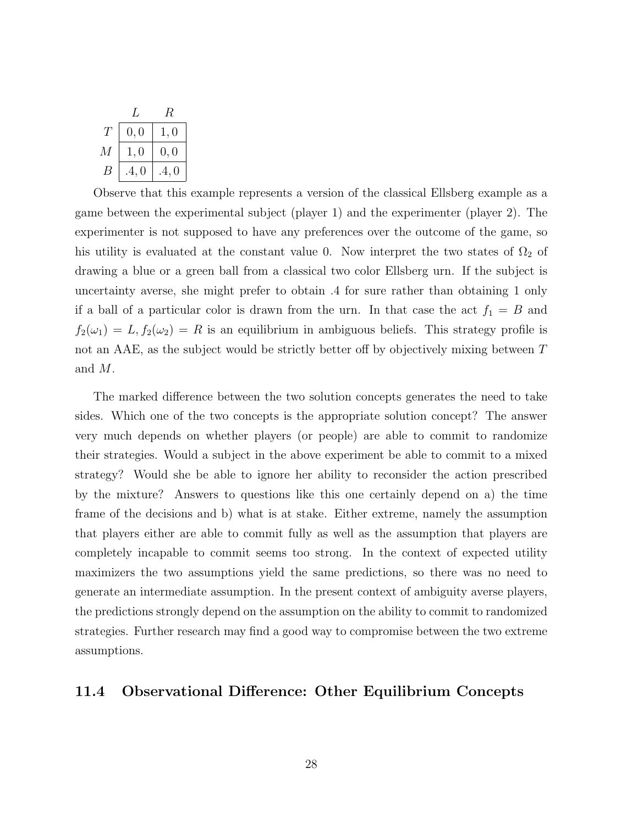|   |       | K.    |
|---|-------|-------|
| T | 0, 0  | 1,0   |
| М | 1,0   | 0, 0  |
| В | .4, 0 | .4, 0 |

Observe that this example represents a version of the classical Ellsberg example as a game between the experimental subject (player 1) and the experimenter (player 2). The experimenter is not supposed to have any preferences over the outcome of the game, so his utility is evaluated at the constant value 0. Now interpret the two states of  $\Omega_2$  of drawing a blue or a green ball from a classical two color Ellsberg urn. If the subject is uncertainty averse, she might prefer to obtain .4 for sure rather than obtaining 1 only if a ball of a particular color is drawn from the urn. In that case the act  $f_1 = B$  and  $f_2(\omega_1) = L$ ,  $f_2(\omega_2) = R$  is an equilibrium in ambiguous beliefs. This strategy profile is not an AAE, as the subject would be strictly better off by objectively mixing between T and M.

The marked difference between the two solution concepts generates the need to take sides. Which one of the two concepts is the appropriate solution concept? The answer very much depends on whether players (or people) are able to commit to randomize their strategies. Would a subject in the above experiment be able to commit to a mixed strategy? Would she be able to ignore her ability to reconsider the action prescribed by the mixture? Answers to questions like this one certainly depend on a) the time frame of the decisions and b) what is at stake. Either extreme, namely the assumption that players either are able to commit fully as well as the assumption that players are completely incapable to commit seems too strong. In the context of expected utility maximizers the two assumptions yield the same predictions, so there was no need to generate an intermediate assumption. In the present context of ambiguity averse players, the predictions strongly depend on the assumption on the ability to commit to randomized strategies. Further research may find a good way to compromise between the two extreme assumptions.

#### 11.4 Observational Difference: Other Equilibrium Concepts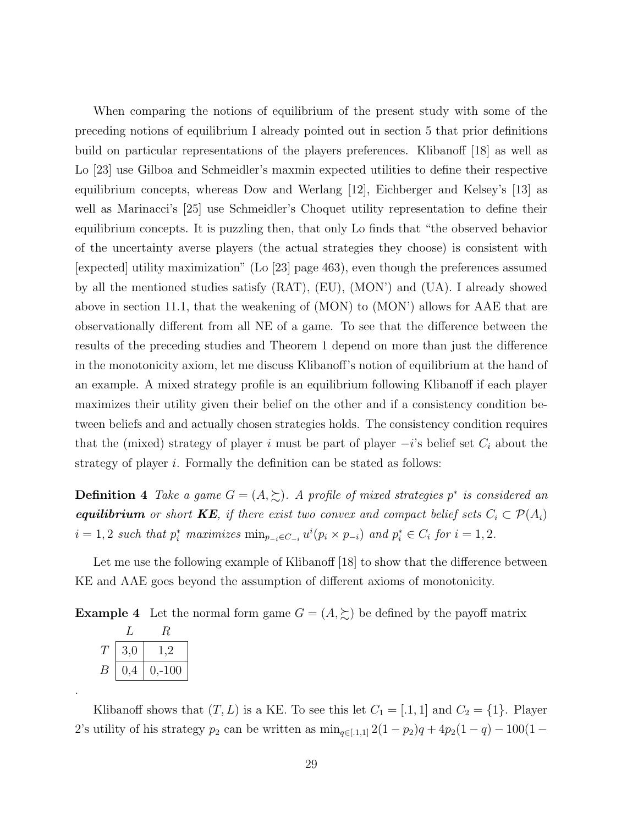When comparing the notions of equilibrium of the present study with some of the preceding notions of equilibrium I already pointed out in section 5 that prior definitions build on particular representations of the players preferences. Klibanoff [18] as well as Lo [23] use Gilboa and Schmeidler's maxmin expected utilities to define their respective equilibrium concepts, whereas Dow and Werlang [12], Eichberger and Kelsey's [13] as well as Marinacci's [25] use Schmeidler's Choquet utility representation to define their equilibrium concepts. It is puzzling then, that only Lo finds that "the observed behavior of the uncertainty averse players (the actual strategies they choose) is consistent with [expected] utility maximization" (Lo [23] page 463), even though the preferences assumed by all the mentioned studies satisfy (RAT), (EU), (MON') and (UA). I already showed above in section 11.1, that the weakening of (MON) to (MON') allows for AAE that are observationally different from all NE of a game. To see that the difference between the results of the preceding studies and Theorem 1 depend on more than just the difference in the monotonicity axiom, let me discuss Klibanoff's notion of equilibrium at the hand of an example. A mixed strategy profile is an equilibrium following Klibanoff if each player maximizes their utility given their belief on the other and if a consistency condition between beliefs and and actually chosen strategies holds. The consistency condition requires that the (mixed) strategy of player i must be part of player  $-i$ 's belief set  $C_i$  about the strategy of player *i*. Formally the definition can be stated as follows:

**Definition 4** Take a game  $G = (A, \geq)$ . A profile of mixed strategies  $p^*$  is considered an **equilibrium** or short **KE**, if there exist two convex and compact belief sets  $C_i \subset \mathcal{P}(A_i)$  $i = 1, 2 \text{ such that } p_i^* \text{ maximizes } \min_{p_{-i} \in C_{-i}} u^i(p_i \times p_{-i}) \text{ and } p_i^* \in C_i \text{ for } i = 1, 2.$ 

Let me use the following example of Klibanoff [18] to show that the difference between KE and AAE goes beyond the assumption of different axioms of monotonicity.

**Example 4** Let the normal form game  $G = (A, \Sigma)$  be defined by the payoff matrix

|              |              | К.        |
|--------------|--------------|-----------|
| $\mathbf{L}$ | 3,0          | 1.2       |
| R            | $_{\rm 0,4}$ | $0, -100$ |

.

Klibanoff shows that  $(T, L)$  is a KE. To see this let  $C_1 = [.1, 1]$  and  $C_2 = \{1\}$ . Player 2's utility of his strategy  $p_2$  can be written as  $\min_{q \in [1,1]} 2(1-p_2)q + 4p_2(1-q) - 100(1-q)$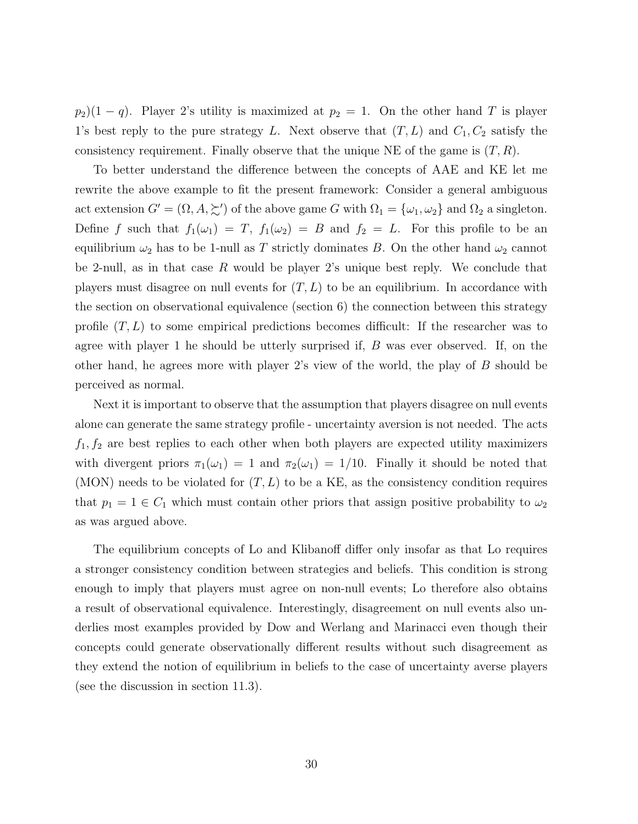$p_2(1 - q)$ . Player 2's utility is maximized at  $p_2 = 1$ . On the other hand T is player 1's best reply to the pure strategy L. Next observe that  $(T, L)$  and  $C_1, C_2$  satisfy the consistency requirement. Finally observe that the unique NE of the game is  $(T, R)$ .

To better understand the difference between the concepts of AAE and KE let me rewrite the above example to fit the present framework: Consider a general ambiguous act extension  $G' = (\Omega, A, \succeq')$  of the above game G with  $\Omega_1 = {\omega_1, \omega_2}$  and  $\Omega_2$  a singleton. Define f such that  $f_1(\omega_1) = T$ ,  $f_1(\omega_2) = B$  and  $f_2 = L$ . For this profile to be an equilibrium  $\omega_2$  has to be 1-null as T strictly dominates B. On the other hand  $\omega_2$  cannot be 2-null, as in that case R would be player 2's unique best reply. We conclude that players must disagree on null events for  $(T, L)$  to be an equilibrium. In accordance with the section on observational equivalence (section 6) the connection between this strategy profile  $(T, L)$  to some empirical predictions becomes difficult: If the researcher was to agree with player 1 he should be utterly surprised if, B was ever observed. If, on the other hand, he agrees more with player 2's view of the world, the play of B should be perceived as normal.

Next it is important to observe that the assumption that players disagree on null events alone can generate the same strategy profile - uncertainty aversion is not needed. The acts  $f_1, f_2$  are best replies to each other when both players are expected utility maximizers with divergent priors  $\pi_1(\omega_1) = 1$  and  $\pi_2(\omega_1) = 1/10$ . Finally it should be noted that (MON) needs to be violated for  $(T, L)$  to be a KE, as the consistency condition requires that  $p_1 = 1 \in C_1$  which must contain other priors that assign positive probability to  $\omega_2$ as was argued above.

The equilibrium concepts of Lo and Klibanoff differ only insofar as that Lo requires a stronger consistency condition between strategies and beliefs. This condition is strong enough to imply that players must agree on non-null events; Lo therefore also obtains a result of observational equivalence. Interestingly, disagreement on null events also underlies most examples provided by Dow and Werlang and Marinacci even though their concepts could generate observationally different results without such disagreement as they extend the notion of equilibrium in beliefs to the case of uncertainty averse players (see the discussion in section 11.3).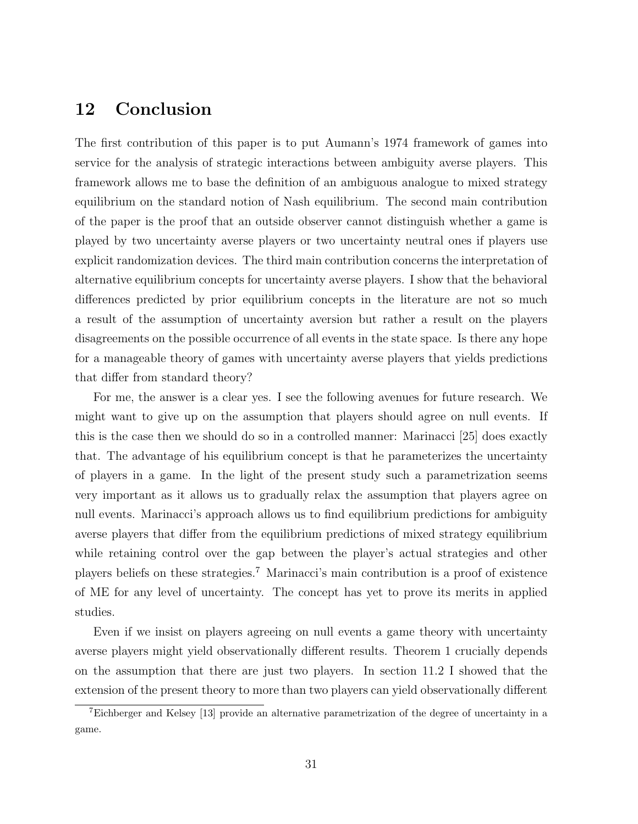### 12 Conclusion

The first contribution of this paper is to put Aumann's 1974 framework of games into service for the analysis of strategic interactions between ambiguity averse players. This framework allows me to base the definition of an ambiguous analogue to mixed strategy equilibrium on the standard notion of Nash equilibrium. The second main contribution of the paper is the proof that an outside observer cannot distinguish whether a game is played by two uncertainty averse players or two uncertainty neutral ones if players use explicit randomization devices. The third main contribution concerns the interpretation of alternative equilibrium concepts for uncertainty averse players. I show that the behavioral differences predicted by prior equilibrium concepts in the literature are not so much a result of the assumption of uncertainty aversion but rather a result on the players disagreements on the possible occurrence of all events in the state space. Is there any hope for a manageable theory of games with uncertainty averse players that yields predictions that differ from standard theory?

For me, the answer is a clear yes. I see the following avenues for future research. We might want to give up on the assumption that players should agree on null events. If this is the case then we should do so in a controlled manner: Marinacci [25] does exactly that. The advantage of his equilibrium concept is that he parameterizes the uncertainty of players in a game. In the light of the present study such a parametrization seems very important as it allows us to gradually relax the assumption that players agree on null events. Marinacci's approach allows us to find equilibrium predictions for ambiguity averse players that differ from the equilibrium predictions of mixed strategy equilibrium while retaining control over the gap between the player's actual strategies and other players beliefs on these strategies.<sup>7</sup> Marinacci's main contribution is a proof of existence of ME for any level of uncertainty. The concept has yet to prove its merits in applied studies.

Even if we insist on players agreeing on null events a game theory with uncertainty averse players might yield observationally different results. Theorem 1 crucially depends on the assumption that there are just two players. In section 11.2 I showed that the extension of the present theory to more than two players can yield observationally different

<sup>7</sup>Eichberger and Kelsey [13] provide an alternative parametrization of the degree of uncertainty in a game.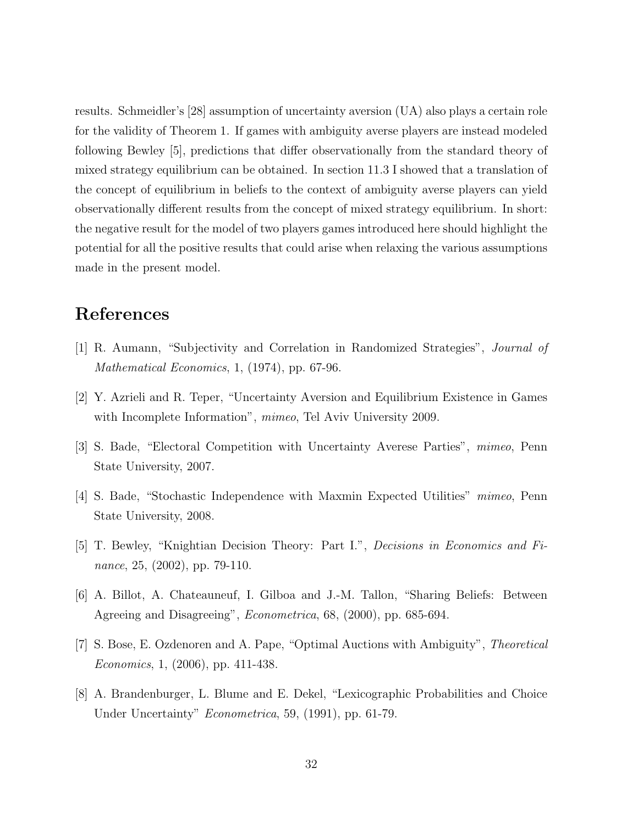results. Schmeidler's [28] assumption of uncertainty aversion (UA) also plays a certain role for the validity of Theorem 1. If games with ambiguity averse players are instead modeled following Bewley [5], predictions that differ observationally from the standard theory of mixed strategy equilibrium can be obtained. In section 11.3 I showed that a translation of the concept of equilibrium in beliefs to the context of ambiguity averse players can yield observationally different results from the concept of mixed strategy equilibrium. In short: the negative result for the model of two players games introduced here should highlight the potential for all the positive results that could arise when relaxing the various assumptions made in the present model.

## References

- [1] R. Aumann, "Subjectivity and Correlation in Randomized Strategies", Journal of Mathematical Economics, 1, (1974), pp. 67-96.
- [2] Y. Azrieli and R. Teper, "Uncertainty Aversion and Equilibrium Existence in Games with Incomplete Information", *mimeo*, Tel Aviv University 2009.
- [3] S. Bade, "Electoral Competition with Uncertainty Averese Parties", mimeo, Penn State University, 2007.
- [4] S. Bade, "Stochastic Independence with Maxmin Expected Utilities" mimeo, Penn State University, 2008.
- [5] T. Bewley, "Knightian Decision Theory: Part I.", Decisions in Economics and Finance, 25, (2002), pp. 79-110.
- [6] A. Billot, A. Chateauneuf, I. Gilboa and J.-M. Tallon, "Sharing Beliefs: Between Agreeing and Disagreeing", Econometrica, 68, (2000), pp. 685-694.
- [7] S. Bose, E. Ozdenoren and A. Pape, "Optimal Auctions with Ambiguity", Theoretical Economics, 1, (2006), pp. 411-438.
- [8] A. Brandenburger, L. Blume and E. Dekel, "Lexicographic Probabilities and Choice Under Uncertainty" *Econometrica*, 59, (1991), pp. 61-79.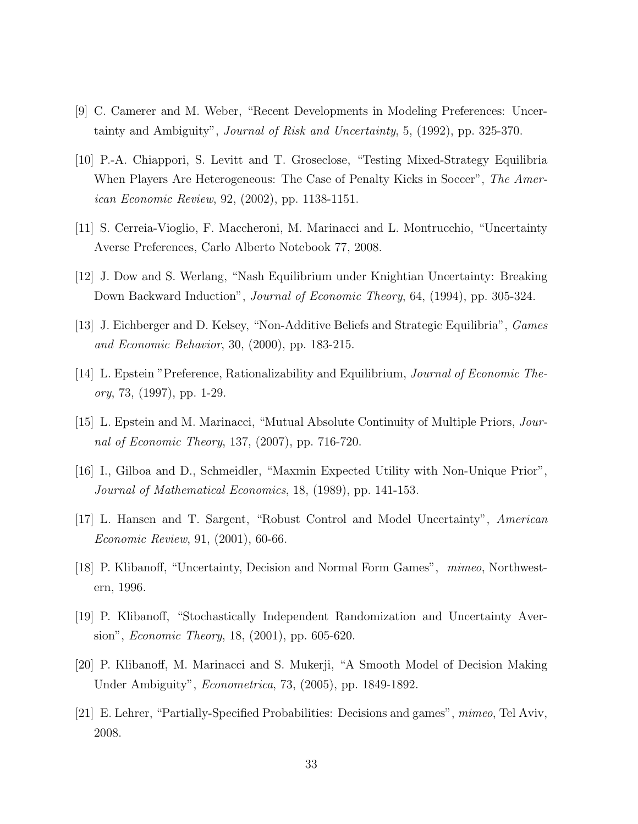- [9] C. Camerer and M. Weber, "Recent Developments in Modeling Preferences: Uncertainty and Ambiguity", Journal of Risk and Uncertainty, 5, (1992), pp. 325-370.
- [10] P.-A. Chiappori, S. Levitt and T. Groseclose, "Testing Mixed-Strategy Equilibria When Players Are Heterogeneous: The Case of Penalty Kicks in Soccer", The American Economic Review, 92, (2002), pp. 1138-1151.
- [11] S. Cerreia-Vioglio, F. Maccheroni, M. Marinacci and L. Montrucchio, "Uncertainty Averse Preferences, Carlo Alberto Notebook 77, 2008.
- [12] J. Dow and S. Werlang, "Nash Equilibrium under Knightian Uncertainty: Breaking Down Backward Induction", *Journal of Economic Theory*, 64, (1994), pp. 305-324.
- [13] J. Eichberger and D. Kelsey, "Non-Additive Beliefs and Strategic Equilibria", Games and Economic Behavior, 30, (2000), pp. 183-215.
- [14] L. Epstein "Preference, Rationalizability and Equilibrium, Journal of Economic Theory, 73, (1997), pp. 1-29.
- [15] L. Epstein and M. Marinacci, "Mutual Absolute Continuity of Multiple Priors, Journal of Economic Theory, 137, (2007), pp. 716-720.
- [16] I., Gilboa and D., Schmeidler, "Maxmin Expected Utility with Non-Unique Prior", Journal of Mathematical Economics, 18, (1989), pp. 141-153.
- [17] L. Hansen and T. Sargent, "Robust Control and Model Uncertainty", American Economic Review, 91, (2001), 60-66.
- [18] P. Klibanoff, "Uncertainty, Decision and Normal Form Games", mimeo, Northwestern, 1996.
- [19] P. Klibanoff, "Stochastically Independent Randomization and Uncertainty Aversion", Economic Theory, 18, (2001), pp. 605-620.
- [20] P. Klibanoff, M. Marinacci and S. Mukerji, "A Smooth Model of Decision Making Under Ambiguity", Econometrica, 73, (2005), pp. 1849-1892.
- [21] E. Lehrer, "Partially-Specified Probabilities: Decisions and games", mimeo, Tel Aviv, 2008.